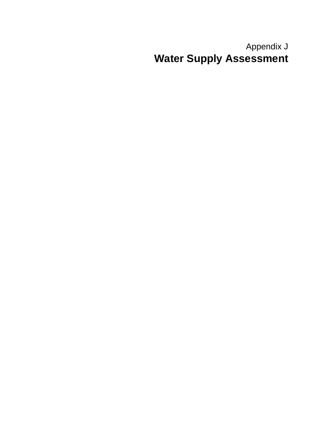# Appendix J **Water Supply Assessment**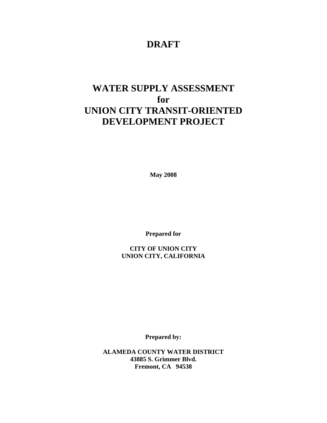# **DRAFT**

# **WATER SUPPLY ASSESSMENT for UNION CITY TRANSIT-ORIENTED DEVELOPMENT PROJECT**

**May 2008** 

**Prepared for** 

**CITY OF UNION CITY UNION CITY, CALIFORNIA** 

**Prepared by:** 

**ALAMEDA COUNTY WATER DISTRICT 43885 S. Grimmer Blvd. Fremont, CA 94538**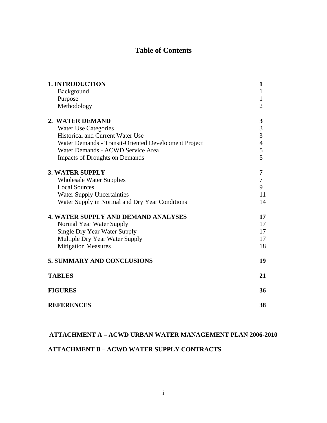# **Table of Contents**

| <b>1. INTRODUCTION</b>                               | $\mathbf{1}$     |
|------------------------------------------------------|------------------|
| Background                                           | 1                |
| Purpose                                              | $\mathbf{1}$     |
| Methodology                                          | $\overline{2}$   |
| 2. WATER DEMAND                                      | $\boldsymbol{3}$ |
| <b>Water Use Categories</b>                          | $\frac{3}{3}$    |
| <b>Historical and Current Water Use</b>              |                  |
| Water Demands - Transit-Oriented Development Project | $\overline{4}$   |
| Water Demands - ACWD Service Area                    | 5                |
| <b>Impacts of Droughts on Demands</b>                | 5                |
| <b>3. WATER SUPPLY</b>                               | 7                |
| <b>Wholesale Water Supplies</b>                      | $\overline{7}$   |
| <b>Local Sources</b>                                 | 9                |
| <b>Water Supply Uncertainties</b>                    | 11               |
| Water Supply in Normal and Dry Year Conditions       | 14               |
| <b>4. WATER SUPPLY AND DEMAND ANALYSES</b>           | 17               |
| Normal Year Water Supply                             | 17               |
| <b>Single Dry Year Water Supply</b>                  | 17               |
| Multiple Dry Year Water Supply                       | 17               |
| <b>Mitigation Measures</b>                           | 18               |
| <b>5. SUMMARY AND CONCLUSIONS</b>                    | 19               |
| <b>TABLES</b>                                        | 21               |
| <b>FIGURES</b>                                       | 36               |
| <b>REFERENCES</b>                                    | 38               |

## **ATTACHMENT A – ACWD URBAN WATER MANAGEMENT PLAN 2006-2010**

# **ATTACHMENT B – ACWD WATER SUPPLY CONTRACTS**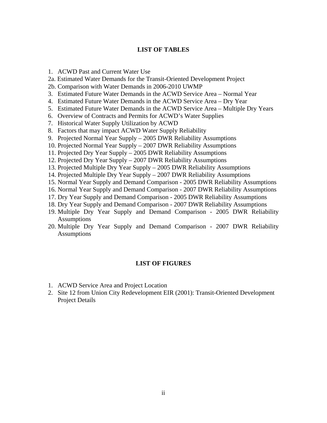#### **LIST OF TABLES**

- 1. ACWD Past and Current Water Use
- 2a. Estimated Water Demands for the Transit-Oriented Development Project
- 2b. Comparison with Water Demands in 2006-2010 UWMP
- 3. Estimated Future Water Demands in the ACWD Service Area Normal Year
- 4. Estimated Future Water Demands in the ACWD Service Area Dry Year
- 5. Estimated Future Water Demands in the ACWD Service Area Multiple Dry Years
- 6. Overview of Contracts and Permits for ACWD's Water Supplies
- 7. Historical Water Supply Utilization by ACWD
- 8. Factors that may impact ACWD Water Supply Reliability
- 9. Projected Normal Year Supply 2005 DWR Reliability Assumptions
- 10. Projected Normal Year Supply 2007 DWR Reliability Assumptions
- 11. Projected Dry Year Supply 2005 DWR Reliability Assumptions
- 12. Projected Dry Year Supply 2007 DWR Reliability Assumptions
- 13. Projected Multiple Dry Year Supply 2005 DWR Reliability Assumptions
- 14. Projected Multiple Dry Year Supply 2007 DWR Reliability Assumptions
- 15. Normal Year Supply and Demand Comparison 2005 DWR Reliability Assumptions
- 16. Normal Year Supply and Demand Comparison 2007 DWR Reliability Assumptions
- 17. Dry Year Supply and Demand Comparison 2005 DWR Reliability Assumptions
- 18. Dry Year Supply and Demand Comparison 2007 DWR Reliability Assumptions
- 19. Multiple Dry Year Supply and Demand Comparison 2005 DWR Reliability **Assumptions**
- 20. Multiple Dry Year Supply and Demand Comparison 2007 DWR Reliability **Assumptions**

#### **LIST OF FIGURES**

- 1. ACWD Service Area and Project Location
- 2. Site 12 from Union City Redevelopment EIR (2001): Transit-Oriented Development Project Details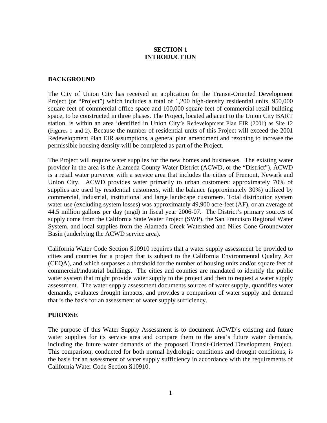## **SECTION 1 INTRODUCTION**

## **BACKGROUND**

The City of Union City has received an application for the Transit-Oriented Development Project (or "Project") which includes a total of 1,200 high-density residential units, 950,000 square feet of commercial office space and 100,000 square feet of commercial retail building space, to be constructed in three phases. The Project, located adjacent to the Union City BART station, is within an area identified in Union City's Redevelopment Plan EIR (2001) as Site 12 (Figures 1 and 2). Because the number of residential units of this Project will exceed the 2001 Redevelopment Plan EIR assumptions, a general plan amendment and rezoning to increase the permissible housing density will be completed as part of the Project.

The Project will require water supplies for the new homes and businesses. The existing water provider in the area is the Alameda County Water District (ACWD, or the "District"). ACWD is a retail water purveyor with a service area that includes the cities of Fremont, Newark and Union City. ACWD provides water primarily to urban customers: approximately 70% of supplies are used by residential customers, with the balance (approximately 30%) utilized by commercial, industrial, institutional and large landscape customers. Total distribution system water use (excluding system losses) was approximately 49,900 acre-feet (AF), or an average of 44.5 million gallons per day (mgd) in fiscal year 2006-07. The District's primary sources of supply come from the California State Water Project (SWP), the San Francisco Regional Water System, and local supplies from the Alameda Creek Watershed and Niles Cone Groundwater Basin (underlying the ACWD service area).

California Water Code Section §10910 requires that a water supply assessment be provided to cities and counties for a project that is subject to the California Environmental Quality Act (CEQA), and which surpasses a threshold for the number of housing units and/or square feet of commercial/industrial buildings. The cities and counties are mandated to identify the public water system that might provide water supply to the project and then to request a water supply assessment. The water supply assessment documents sources of water supply, quantifies water demands, evaluates drought impacts, and provides a comparison of water supply and demand that is the basis for an assessment of water supply sufficiency.

#### **PURPOSE**

The purpose of this Water Supply Assessment is to document ACWD's existing and future water supplies for its service area and compare them to the area's future water demands, including the future water demands of the proposed Transit-Oriented Development Project. This comparison, conducted for both normal hydrologic conditions and drought conditions, is the basis for an assessment of water supply sufficiency in accordance with the requirements of California Water Code Section §10910.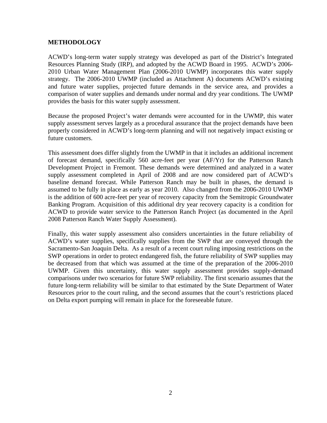## **METHODOLOGY**

ACWD's long-term water supply strategy was developed as part of the District's Integrated Resources Planning Study (IRP), and adopted by the ACWD Board in 1995. ACWD's 2006- 2010 Urban Water Management Plan (2006-2010 UWMP) incorporates this water supply strategy. The 2006-2010 UWMP (included as Attachment A) documents ACWD's existing and future water supplies, projected future demands in the service area, and provides a comparison of water supplies and demands under normal and dry year conditions. The UWMP provides the basis for this water supply assessment.

Because the proposed Project's water demands were accounted for in the UWMP, this water supply assessment serves largely as a procedural assurance that the project demands have been properly considered in ACWD's long-term planning and will not negatively impact existing or future customers.

This assessment does differ slightly from the UWMP in that it includes an additional increment of forecast demand, specifically 560 acre-feet per year (AF/Yr) for the Patterson Ranch Development Project in Fremont. These demands were determined and analyzed in a water supply assessment completed in April of 2008 and are now considered part of ACWD's baseline demand forecast. While Patterson Ranch may be built in phases, the demand is assumed to be fully in place as early as year 2010. Also changed from the 2006-2010 UWMP is the addition of 600 acre-feet per year of recovery capacity from the Semitropic Groundwater Banking Program. Acquisition of this additional dry year recovery capacity is a condition for ACWD to provide water service to the Patterson Ranch Project (as documented in the April 2008 Patterson Ranch Water Supply Assessment).

Finally, this water supply assessment also considers uncertainties in the future reliability of ACWD's water supplies, specifically supplies from the SWP that are conveyed through the Sacramento-San Joaquin Delta. As a result of a recent court ruling imposing restrictions on the SWP operations in order to protect endangered fish, the future reliability of SWP supplies may be decreased from that which was assumed at the time of the preparation of the 2006-2010 UWMP. Given this uncertainty, this water supply assessment provides supply-demand comparisons under two scenarios for future SWP reliability. The first scenario assumes that the future long-term reliability will be similar to that estimated by the State Department of Water Resources prior to the court ruling, and the second assumes that the court's restrictions placed on Delta export pumping will remain in place for the foreseeable future.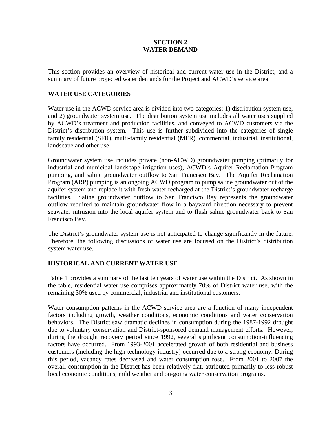## **SECTION 2 WATER DEMAND**

This section provides an overview of historical and current water use in the District, and a summary of future projected water demands for the Project and ACWD's service area.

## **WATER USE CATEGORIES**

Water use in the ACWD service area is divided into two categories: 1) distribution system use, and 2) groundwater system use. The distribution system use includes all water uses supplied by ACWD's treatment and production facilities, and conveyed to ACWD customers via the District's distribution system. This use is further subdivided into the categories of single family residential (SFR), multi-family residential (MFR), commercial, industrial, institutional, landscape and other use.

Groundwater system use includes private (non-ACWD) groundwater pumping (primarily for industrial and municipal landscape irrigation uses), ACWD's Aquifer Reclamation Program pumping, and saline groundwater outflow to San Francisco Bay. The Aquifer Reclamation Program (ARP) pumping is an ongoing ACWD program to pump saline groundwater out of the aquifer system and replace it with fresh water recharged at the District's groundwater recharge facilities. Saline groundwater outflow to San Francisco Bay represents the groundwater outflow required to maintain groundwater flow in a bayward direction necessary to prevent seawater intrusion into the local aquifer system and to flush saline groundwater back to San Francisco Bay.

The District's groundwater system use is not anticipated to change significantly in the future. Therefore, the following discussions of water use are focused on the District's distribution system water use.

#### **HISTORICAL AND CURRENT WATER USE**

Table 1 provides a summary of the last ten years of water use within the District. As shown in the table, residential water use comprises approximately 70% of District water use, with the remaining 30% used by commercial, industrial and institutional customers.

Water consumption patterns in the ACWD service area are a function of many independent factors including growth, weather conditions, economic conditions and water conservation behaviors. The District saw dramatic declines in consumption during the 1987-1992 drought due to voluntary conservation and District-sponsored demand management efforts. However, during the drought recovery period since 1992, several significant consumption-influencing factors have occurred. From 1993-2001 accelerated growth of both residential and business customers (including the high technology industry) occurred due to a strong economy. During this period, vacancy rates decreased and water consumption rose. From 2001 to 2007 the overall consumption in the District has been relatively flat, attributed primarily to less robust local economic conditions, mild weather and on-going water conservation programs.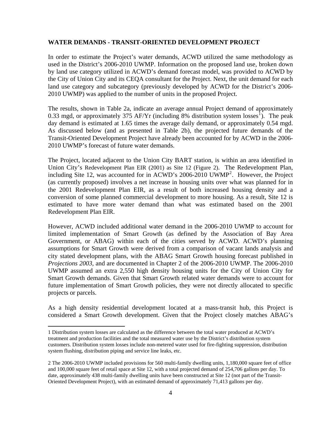#### **WATER DEMANDS - TRANSIT-ORIENTED DEVELOPMENT PROJECT**

In order to estimate the Project's water demands, ACWD utilized the same methodology as used in the District's 2006-2010 UWMP. Information on the proposed land use, broken down by land use category utilized in ACWD's demand forecast model, was provided to ACWD by the City of Union City and its CEQA consultant for the Project. Next, the unit demand for each land use category and subcategory (previously developed by ACWD for the District's 2006- 2010 UWMP) was applied to the number of units in the proposed Project.

The results, shown in Table 2a, indicate an average annual Project demand of approximately 0.33 mgd, or approximately 375 AF/Yr (including 8% distribution system losses<sup>1</sup>). The peak day demand is estimated at 1.65 times the average daily demand, or approximately 0.54 mgd. As discussed below (and as presented in Table 2b), the projected future demands of the Transit-Oriented Development Project have already been accounted for by ACWD in the 2006- 2010 UWMP's forecast of future water demands.

The Project, located adjacent to the Union City BART station, is within an area identified in Union City's Redevelopment Plan EIR (2001) as Site 12 (Figure 2). The Redevelopment Plan, including Site 12, was accounted for in ACWD's 2006-2010 UWMP<sup>2</sup>. However, the Project (as currently proposed) involves a net increase in housing units over what was planned for in the 2001 Redevelopment Plan EIR, as a result of both increased housing density and a conversion of some planned commercial development to more housing. As a result, Site 12 is estimated to have more water demand than what was estimated based on the 2001 Redevelopment Plan EIR.

However, ACWD included additional water demand in the 2006-2010 UWMP to account for limited implementation of Smart Growth (as defined by the Association of Bay Area Government, or ABAG) within each of the cities served by ACWD. ACWD's planning assumptions for Smart Growth were derived from a comparison of vacant lands analysis and city stated development plans, with the ABAG Smart Growth housing forecast published in *Projections 2003,* and are documented in Chapter 2 of the 2006-2010 UWMP. The 2006-2010 UWMP assumed an extra 2,550 high density housing units for the City of Union City for Smart Growth demands. Given that Smart Growth related water demands were to account for future implementation of Smart Growth policies, they were not directly allocated to specific projects or parcels.

As a high density residential development located at a mass-transit hub, this Project is considered a Smart Growth development. Given that the Project closely matches ABAG's

1

<sup>1</sup> Distribution system losses are calculated as the difference between the total water produced at ACWD's treatment and production facilities and the total measured water use by the District's distribution system customers. Distribution system losses include non-metered water used for fire-fighting suppression, distribution system flushing, distribution piping and service line leaks, etc.

<sup>2</sup> The 2006-2010 UWMP included provisions for 560 multi-family dwelling units, 1,180,000 square feet of office and 100,000 square feet of retail space at Site 12, with a total projected demand of 254,706 gallons per day. To date, approximately 438 multi-family dwelling units have been constructed at Site 12 (not part of the Transit-Oriented Development Project), with an estimated demand of approximately 71,413 gallons per day.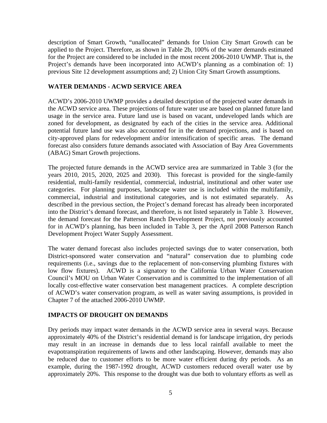description of Smart Growth, "unallocated" demands for Union City Smart Growth can be applied to the Project. Therefore, as shown in Table 2b, 100% of the water demands estimated for the Project are considered to be included in the most recent 2006-2010 UWMP. That is, the Project's demands have been incorporated into ACWD's planning as a combination of: 1) previous Site 12 development assumptions and; 2) Union City Smart Growth assumptions.

#### **WATER DEMANDS - ACWD SERVICE AREA**

ACWD's 2006-2010 UWMP provides a detailed description of the projected water demands in the ACWD service area. These projections of future water use are based on planned future land usage in the service area. Future land use is based on vacant, undeveloped lands which are zoned for development, as designated by each of the cities in the service area. Additional potential future land use was also accounted for in the demand projections, and is based on city-approved plans for redevelopment and/or intensification of specific areas. The demand forecast also considers future demands associated with Association of Bay Area Governments (ABAG) Smart Growth projections.

The projected future demands in the ACWD service area are summarized in Table 3 (for the years 2010, 2015, 2020, 2025 and 2030). This forecast is provided for the single-family residential, multi-family residential, commercial, industrial, institutional and other water use categories. For planning purposes, landscape water use is included within the multifamily, commercial, industrial and institutional categories, and is not estimated separately. described in the previous section, the Project's demand forecast has already been incorporated into the District's demand forecast, and therefore, is not listed separately in Table 3. However, the demand forecast for the Patterson Ranch Development Project, not previously accounted for in ACWD's planning, has been included in Table 3, per the April 2008 Patterson Ranch Development Project Water Supply Assessment.

The water demand forecast also includes projected savings due to water conservation, both District-sponsored water conservation and "natural" conservation due to plumbing code requirements (i.e., savings due to the replacement of non-conserving plumbing fixtures with low flow fixtures). ACWD is a signatory to the California Urban Water Conservation Council's MOU on Urban Water Conservation and is committed to the implementation of all locally cost-effective water conservation best management practices. A complete description of ACWD's water conservation program, as well as water saving assumptions, is provided in Chapter 7 of the attached 2006-2010 UWMP.

#### **IMPACTS OF DROUGHT ON DEMANDS**

Dry periods may impact water demands in the ACWD service area in several ways. Because approximately 40% of the District's residential demand is for landscape irrigation, dry periods may result in an increase in demands due to less local rainfall available to meet the evapotranspiration requirements of lawns and other landscaping. However, demands may also be reduced due to customer efforts to be more water efficient during dry periods. As an example, during the 1987-1992 drought, ACWD customers reduced overall water use by approximately 20%. This response to the drought was due both to voluntary efforts as well as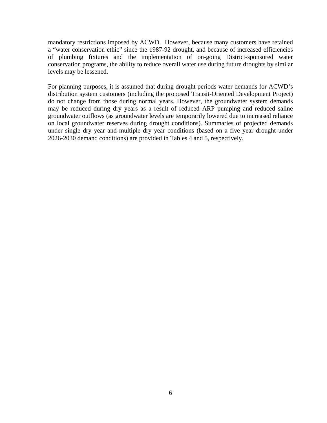mandatory restrictions imposed by ACWD. However, because many customers have retained a "water conservation ethic" since the 1987-92 drought, and because of increased efficiencies of plumbing fixtures and the implementation of on-going District-sponsored water conservation programs, the ability to reduce overall water use during future droughts by similar levels may be lessened.

For planning purposes, it is assumed that during drought periods water demands for ACWD's distribution system customers (including the proposed Transit-Oriented Development Project) do not change from those during normal years. However, the groundwater system demands may be reduced during dry years as a result of reduced ARP pumping and reduced saline groundwater outflows (as groundwater levels are temporarily lowered due to increased reliance on local groundwater reserves during drought conditions). Summaries of projected demands under single dry year and multiple dry year conditions (based on a five year drought under 2026-2030 demand conditions) are provided in Tables 4 and 5, respectively.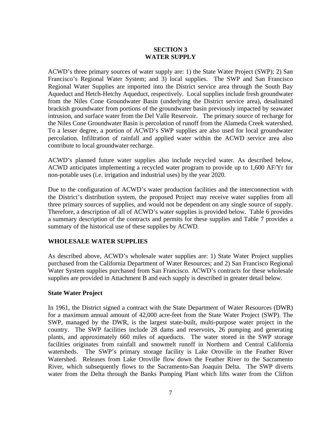## **SECTION 3 WATER SUPPLY**

ACWD's three primary sources of water supply are: 1) the State Water Project (SWP); 2) San Francisco's Regional Water System; and 3) local supplies. The SWP and San Francisco Regional Water Supplies are imported into the District service area through the South Bay Aqueduct and Hetch-Hetchy Aqueduct, respectively. Local supplies include fresh groundwater from the Niles Cone Groundwater Basin (underlying the District service area), desalinated brackish groundwater from portions of the groundwater basin previously impacted by seawater intrusion, and surface water from the Del Valle Reservoir. The primary source of recharge for the Niles Cone Groundwater Basin is percolation of runoff from the Alameda Creek watershed. To a lesser degree, a portion of ACWD's SWP supplies are also used for local groundwater percolation. Infiltration of rainfall and applied water within the ACWD service area also contribute to local groundwater recharge.

ACWD's planned future water supplies also include recycled water. As described below, ACWD anticipates implementing a recycled water program to provide up to 1,600 AF/Yr for non-potable uses (i.e. irrigation and industrial uses) by the year 2020.

Due to the configuration of ACWD's water production facilities and the interconnection with the District's distribution system, the proposed Project may receive water supplies from all three primary sources of supplies, and would not be dependent on any single source of supply. Therefore, a description of all of ACWD's water supplies is provided below. Table 6 provides a summary description of the contracts and permits for these supplies and Table 7 provides a summary of the historical use of these supplies by ACWD.

#### **WHOLESALE WATER SUPPLIES**

As described above, ACWD's wholesale water supplies are: 1) State Water Project supplies purchased from the California Department of Water Resources; and 2) San Francisco Regional Water System supplies purchased from San Francisco. ACWD's contracts for these wholesale supplies are provided in Attachment B and each supply is described in greater detail below.

#### **State Water Project**

In 1961, the District signed a contract with the State Department of Water Resources (DWR) for a maximum annual amount of 42,000 acre-feet from the State Water Project (SWP). The SWP, managed by the DWR, is the largest state-built, multi-purpose water project in the country. The SWP facilities include 28 dams and reservoirs, 26 pumping and generating plants, and approximately 660 miles of aqueducts. The water stored in the SWP storage facilities originates from rainfall and snowmelt runoff in Northern and Central California watersheds. The SWP's primary storage facility is Lake Oroville in the Feather River Watershed. Releases from Lake Oroville flow down the Feather River to the Sacramento River, which subsequently flows to the Sacramento-San Joaquin Delta. The SWP diverts water from the Delta through the Banks Pumping Plant which lifts water from the Clifton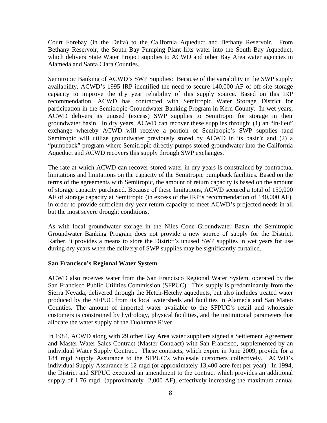Court Forebay (in the Delta) to the California Aqueduct and Bethany Reservoir. From Bethany Reservoir, the South Bay Pumping Plant lifts water into the South Bay Aqueduct, which delivers State Water Project supplies to ACWD and other Bay Area water agencies in Alameda and Santa Clara Counties.

Semitropic Banking of ACWD's SWP Supplies: Because of the variability in the SWP supply availability, ACWD's 1995 IRP identified the need to secure 140,000 AF of off-site storage capacity to improve the dry year reliability of this supply source. Based on this IRP recommendation, ACWD has contracted with Semitropic Water Storage District for participation in the Semitropic Groundwater Banking Program in Kern County. In wet years, ACWD delivers its unused (excess) SWP supplies to Semitropic for storage in their groundwater basin. In dry years, ACWD can recover these supplies through: (1) an "in-lieu" exchange whereby ACWD will receive a portion of Semitropic's SWP supplies (and Semitropic will utilize groundwater previously stored by ACWD in its basin); and (2) a "pumpback" program where Semitropic directly pumps stored groundwater into the California Aqueduct and ACWD recovers this supply through SWP exchanges.

The rate at which ACWD can recover stored water in dry years is constrained by contractual limitations and limitations on the capacity of the Semitropic pumpback facilities. Based on the terms of the agreements with Semitropic, the amount of return capacity is based on the amount of storage capacity purchased. Because of these limitations, ACWD secured a total of 150,000 AF of storage capacity at Semitropic (in excess of the IRP's recommendation of 140,000 AF), in order to provide sufficient dry year return capacity to meet ACWD's projected needs in all but the most severe drought conditions.

As with local groundwater storage in the Niles Cone Groundwater Basin, the Semitropic Groundwater Banking Program does not provide a new source of supply for the District. Rather, it provides a means to store the District's unused SWP supplies in wet years for use during dry years when the delivery of SWP supplies may be significantly curtailed.

#### **San Francisco's Regional Water System**

ACWD also receives water from the San Francisco Regional Water System, operated by the San Francisco Public Utilities Commission (SFPUC). This supply is predominantly from the Sierra Nevada, delivered through the Hetch-Hetchy aqueducts, but also includes treated water produced by the SFPUC from its local watersheds and facilities in Alameda and San Mateo Counties. The amount of imported water available to the SFPUC's retail and wholesale customers is constrained by hydrology, physical facilities, and the institutional parameters that allocate the water supply of the Tuolumne River.

In 1984, ACWD along with 29 other Bay Area water suppliers signed a Settlement Agreement and Master Water Sales Contract (Master Contract) with San Francisco, supplemented by an individual Water Supply Contract. These contracts, which expire in June 2009, provide for a 184 mgd Supply Assurance to the SFPUC's wholesale customers collectively. ACWD's individual Supply Assurance is 12 mgd (or approximately 13,400 acre feet per year). In 1994, the District and SFPUC executed an amendment to the contract which provides an additional supply of 1.76 mgd (approximately 2,000 AF), effectively increasing the maximum annual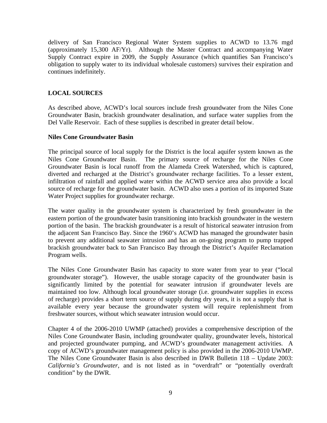delivery of San Francisco Regional Water System supplies to ACWD to 13.76 mgd (approximately 15,300 AF/Yr). Although the Master Contract and accompanying Water Supply Contract expire in 2009, the Supply Assurance (which quantifies San Francisco's obligation to supply water to its individual wholesale customers) survives their expiration and continues indefinitely.

## **LOCAL SOURCES**

As described above, ACWD's local sources include fresh groundwater from the Niles Cone Groundwater Basin, brackish groundwater desalination, and surface water supplies from the Del Valle Reservoir. Each of these supplies is described in greater detail below.

#### **Niles Cone Groundwater Basin**

The principal source of local supply for the District is the local aquifer system known as the Niles Cone Groundwater Basin. The primary source of recharge for the Niles Cone Groundwater Basin is local runoff from the Alameda Creek Watershed, which is captured, diverted and recharged at the District's groundwater recharge facilities. To a lesser extent, infiltration of rainfall and applied water within the ACWD service area also provide a local source of recharge for the groundwater basin. ACWD also uses a portion of its imported State Water Project supplies for groundwater recharge.

The water quality in the groundwater system is characterized by fresh groundwater in the eastern portion of the groundwater basin transitioning into brackish groundwater in the western portion of the basin. The brackish groundwater is a result of historical seawater intrusion from the adjacent San Francisco Bay. Since the 1960's ACWD has managed the groundwater basin to prevent any additional seawater intrusion and has an on-going program to pump trapped brackish groundwater back to San Francisco Bay through the District's Aquifer Reclamation Program wells.

The Niles Cone Groundwater Basin has capacity to store water from year to year ("local groundwater storage"). However, the usable storage capacity of the groundwater basin is significantly limited by the potential for seawater intrusion if groundwater levels are maintained too low. Although local groundwater storage (i.e. groundwater supplies in excess of recharge) provides a short term source of supply during dry years, it is not a supply that is available every year because the groundwater system will require replenishment from freshwater sources, without which seawater intrusion would occur.

Chapter 4 of the 2006-2010 UWMP (attached) provides a comprehensive description of the Niles Cone Groundwater Basin, including groundwater quality, groundwater levels, historical and projected groundwater pumping, and ACWD's groundwater management activities. A copy of ACWD's groundwater management policy is also provided in the 2006-2010 UWMP. The Niles Cone Groundwater Basin is also described in DWR Bulletin 118 – Update 2003: *California's Groundwater*, and is not listed as in "overdraft" or "potentially overdraft condition" by the DWR.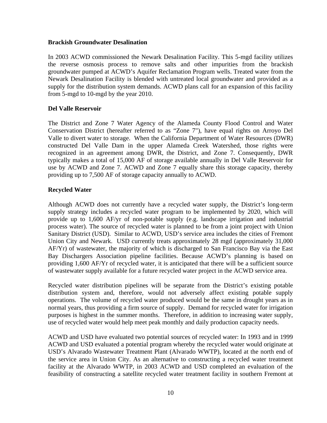#### **Brackish Groundwater Desalination**

In 2003 ACWD commissioned the Newark Desalination Facility. This 5-mgd facility utilizes the reverse osmosis process to remove salts and other impurities from the brackish groundwater pumped at ACWD's Aquifer Reclamation Program wells. Treated water from the Newark Desalination Facility is blended with untreated local groundwater and provided as a supply for the distribution system demands. ACWD plans call for an expansion of this facility from 5-mgd to 10-mgd by the year 2010.

#### **Del Valle Reservoir**

The District and Zone 7 Water Agency of the Alameda County Flood Control and Water Conservation District (hereafter referred to as "Zone 7"), have equal rights on Arroyo Del Valle to divert water to storage. When the California Department of Water Resources (DWR) constructed Del Valle Dam in the upper Alameda Creek Watershed, those rights were recognized in an agreement among DWR, the District, and Zone 7. Consequently, DWR typically makes a total of 15,000 AF of storage available annually in Del Valle Reservoir for use by ACWD and Zone 7. ACWD and Zone 7 equally share this storage capacity, thereby providing up to 7,500 AF of storage capacity annually to ACWD.

## **Recycled Water**

Although ACWD does not currently have a recycled water supply, the District's long-term supply strategy includes a recycled water program to be implemented by 2020, which will provide up to 1,600 AF/yr of non-potable supply (e.g. landscape irrigation and industrial process water). The source of recycled water is planned to be from a joint project with Union Sanitary District (USD). Similar to ACWD, USD's service area includes the cities of Fremont Union City and Newark. USD currently treats approximately 28 mgd (approximately 31,000 AF/Yr) of wastewater, the majority of which is discharged to San Francisco Bay via the East Bay Dischargers Association pipeline facilities. Because ACWD's planning is based on providing 1,600 AF/Yr of recycled water, it is anticipated that there will be a sufficient source of wastewater supply available for a future recycled water project in the ACWD service area.

Recycled water distribution pipelines will be separate from the District's existing potable distribution system and, therefore, would not adversely affect existing potable supply operations. The volume of recycled water produced would be the same in drought years as in normal years, thus providing a firm source of supply. Demand for recycled water for irrigation purposes is highest in the summer months. Therefore, in addition to increasing water supply, use of recycled water would help meet peak monthly and daily production capacity needs.

ACWD and USD have evaluated two potential sources of recycled water: In 1993 and in 1999 ACWD and USD evaluated a potential program whereby the recycled water would originate at USD's Alvarado Wastewater Treatment Plant (Alvarado WWTP), located at the north end of the service area in Union City. As an alternative to constructing a recycled water treatment facility at the Alvarado WWTP, in 2003 ACWD and USD completed an evaluation of the feasibility of constructing a satellite recycled water treatment facility in southern Fremont at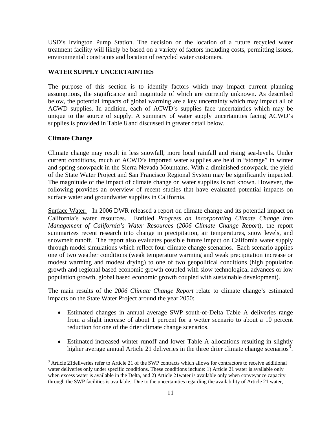USD's Irvington Pump Station. The decision on the location of a future recycled water treatment facility will likely be based on a variety of factors including costs, permitting issues, environmental constraints and location of recycled water customers.

## **WATER SUPPLY UNCERTAINTIES**

The purpose of this section is to identify factors which may impact current planning assumptions, the significance and magnitude of which are currently unknown. As described below, the potential impacts of global warming are a key uncertainty which may impact all of ACWD supplies. In addition, each of ACWD's supplies face uncertainties which may be unique to the source of supply. A summary of water supply uncertainties facing ACWD's supplies is provided in Table 8 and discussed in greater detail below.

## **Climate Change**

<u>.</u>

Climate change may result in less snowfall, more local rainfall and rising sea-levels. Under current conditions, much of ACWD's imported water supplies are held in "storage" in winter and spring snowpack in the Sierra Nevada Mountains. With a diminished snowpack, the yield of the State Water Project and San Francisco Regional System may be significantly impacted. The magnitude of the impact of climate change on water supplies is not known. However, the following provides an overview of recent studies that have evaluated potential impacts on surface water and groundwater supplies in California.

Surface Water: In 2006 DWR released a report on climate change and its potential impact on California's water resources. Entitled *Progress on Incorporating Climate Change into Management of California's Water Resources* (*2006 Climate Change Repor*t), the report summarizes recent research into change in precipitation, air temperatures, snow levels, and snowmelt runoff. The report also evaluates possible future impact on California water supply through model simulations which reflect four climate change scenarios. Each scenario applies one of two weather conditions (weak temperature warming and weak precipitation increase or modest warming and modest drying) to one of two geopolitical conditions (high population growth and regional based economic growth coupled with slow technological advances or low population growth, global based economic growth coupled with sustainable development).

The main results of the *2006 Climate Change Report* relate to climate change's estimated impacts on the State Water Project around the year 2050:

- Estimated changes in annual average SWP south-of-Delta Table A deliveries range from a slight increase of about 1 percent for a wetter scenario to about a 10 percent reduction for one of the drier climate change scenarios.
- Estimated increased winter runoff and lower Table A allocations resulting in slightly higher average annual Article 21 deliveries in the three drier climate change scenarios<sup>3</sup>.

<sup>&</sup>lt;sup>3</sup> Article 21 deliveries refer to Article 21 of the SWP contracts which allows for contractors to receive additional water deliveries only under specific conditions. These conditions include: 1) Article 21 water is available only when excess water is available in the Delta, and 2) Article 21 water is available only when conveyance capacity through the SWP facilities is available. Due to the uncertainties regarding the availability of Article 21 water,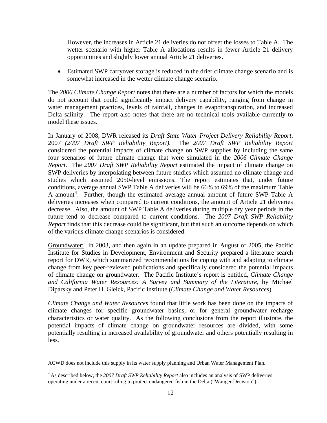However, the increases in Article 21 deliveries do not offset the losses to Table A. The wetter scenario with higher Table A allocations results in fewer Article 21 delivery opportunities and slightly lower annual Article 21 deliveries.

• Estimated SWP carryover storage is reduced in the drier climate change scenario and is somewhat increased in the wetter climate change scenario.

The *2006 Climate Change Report* notes that there are a number of factors for which the models do not account that could significantly impact delivery capability, ranging from change in water management practices, levels of rainfall, changes in evapotranspiration, and increased Delta salinity. The report also notes that there are no technical tools available currently to model these issues.

In January of 2008, DWR released its *Draft State Water Project Delivery Reliability Report,*  2007 *(2007 Draft SWP Reliability Report)*. The *2007 Draft SWP Reliability Report*  considered the potential impacts of climate change on SWP supplies by including the same four scenarios of future climate change that were simulated in the *2006 Climate Change Report*. The *2007 Draft SWP Reliability Report* estimated the impact of climate change on SWP deliveries by interpolating between future studies which assumed no climate change and studies which assumed 2050-level emissions. The report estimates that, under future conditions, average annual SWP Table A deliveries will be 66% to 69% of the maximum Table A amount<sup>4</sup>. Further, though the estimated average annual amount of future SWP Table A deliveries increases when compared to current conditions, the amount of Article 21 deliveries decrease. Also, the amount of SWP Table A deliveries during multiple dry year periods in the future tend to decrease compared to current conditions. The *2007 Draft SWP Reliability Report* finds that this decrease could be significant, but that such an outcome depends on which of the various climate change scenarios is considered.

Groundwater: In 2003, and then again in an update prepared in August of 2005, the Pacific Institute for Studies in Development, Environment and Security prepared a literature search report for DWR, which summarized recommendations for coping with and adapting to climate change from key peer-reviewed publications and specifically considered the potential impacts of climate change on groundwater. The Pacific Institute's report is entitled, *Climate Change and California Water Resources: A Survey and Summary of the Literature,* by Michael Diparsky and Peter H. Gleick, Pacific Institute (*Climate Change and Water Resources*).

*Climate Change and Water Resources* found that little work has been done on the impacts of climate changes for specific groundwater basins, or for general groundwater recharge characteristics or water quality. As the following conclusions from the report illustrate, the potential impacts of climate change on groundwater resources are divided, with some potentially resulting in increased availability of groundwater and others potentially resulting in less.

ACWD does not include this supply in its water supply planning and Urban Water Management Plan.

<sup>4</sup> As described below, the *2007 Draft SWP Reliability Report* also includes an analysis of SWP deliveries operating under a recent court ruling to protect endangered fish in the Delta ("Wanger Decision").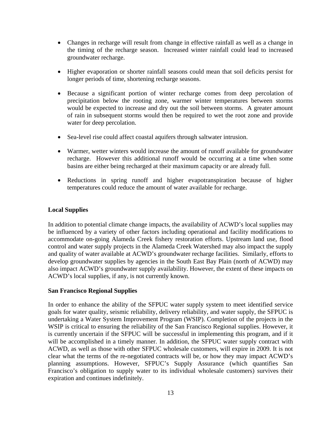- Changes in recharge will result from change in effective rainfall as well as a change in the timing of the recharge season. Increased winter rainfall could lead to increased groundwater recharge.
- Higher evaporation or shorter rainfall seasons could mean that soil deficits persist for longer periods of time, shortening recharge seasons.
- Because a significant portion of winter recharge comes from deep percolation of precipitation below the rooting zone, warmer winter temperatures between storms would be expected to increase and dry out the soil between storms. A greater amount of rain in subsequent storms would then be required to wet the root zone and provide water for deep percolation.
- Sea-level rise could affect coastal aquifers through saltwater intrusion.
- Warmer, wetter winters would increase the amount of runoff available for groundwater recharge. However this additional runoff would be occurring at a time when some basins are either being recharged at their maximum capacity or are already full.
- Reductions in spring runoff and higher evapotranspiration because of higher temperatures could reduce the amount of water available for recharge.

## **Local Supplies**

In addition to potential climate change impacts, the availability of ACWD's local supplies may be influenced by a variety of other factors including operational and facility modifications to accommodate on-going Alameda Creek fishery restoration efforts. Upstream land use, flood control and water supply projects in the Alameda Creek Watershed may also impact the supply and quality of water available at ACWD's groundwater recharge facilities. Similarly, efforts to develop groundwater supplies by agencies in the South East Bay Plain (north of ACWD) may also impact ACWD's groundwater supply availability. However, the extent of these impacts on ACWD's local supplies, if any, is not currently known.

#### **San Francisco Regional Supplies**

In order to enhance the ability of the SFPUC water supply system to meet identified service goals for water quality, seismic reliability, delivery reliability, and water supply, the SFPUC is undertaking a Water System Improvement Program (WSIP). Completion of the projects in the WSIP is critical to ensuring the reliability of the San Francisco Regional supplies. However, it is currently uncertain if the SFPUC will be successful in implementing this program, and if it will be accomplished in a timely manner. In addition, the SFPUC water supply contract with ACWD, as well as those with other SFPUC wholesale customers, will expire in 2009. It is not clear what the terms of the re-negotiated contracts will be, or how they may impact ACWD's planning assumptions. However, SFPUC's Supply Assurance (which quantifies San Francisco's obligation to supply water to its individual wholesale customers) survives their expiration and continues indefinitely.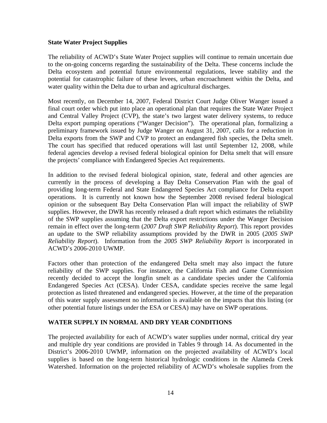#### **State Water Project Supplies**

The reliability of ACWD's State Water Project supplies will continue to remain uncertain due to the on-going concerns regarding the sustainability of the Delta. These concerns include the Delta ecosystem and potential future environmental regulations, levee stability and the potential for catastrophic failure of these levees, urban encroachment within the Delta, and water quality within the Delta due to urban and agricultural discharges.

Most recently, on December 14, 2007, Federal District Court Judge Oliver Wanger issued a final court order which put into place an operational plan that requires the State Water Project and Central Valley Project (CVP), the state's two largest water delivery systems, to reduce Delta export pumping operations ("Wanger Decision"). The operational plan, formalizing a preliminary framework issued by Judge Wanger on August 31, 2007, calls for a reduction in Delta exports from the SWP and CVP to protect an endangered fish species, the Delta smelt. The court has specified that reduced operations will last until September 12, 2008, while federal agencies develop a revised federal biological opinion for Delta smelt that will ensure the projects' compliance with Endangered Species Act requirements.

In addition to the revised federal biological opinion, state, federal and other agencies are currently in the process of developing a Bay Delta Conservation Plan with the goal of providing long-term Federal and State Endangered Species Act compliance for Delta export operations. It is currently not known how the September 2008 revised federal biological opinion or the subsequent Bay Delta Conservation Plan will impact the reliability of SWP supplies. However, the DWR has recently released a draft report which estimates the reliability of the SWP supplies assuming that the Delta export restrictions under the Wanger Decision remain in effect over the long-term (*2007 Draft SWP Reliability Report*). This report provides an update to the SWP reliability assumptions provided by the DWR in 2005 (*2005 SWP Reliability Report*). Information from the *2005 SWP Reliability Report* is incorporated in ACWD's 2006-2010 UWMP.

Factors other than protection of the endangered Delta smelt may also impact the future reliability of the SWP supplies. For instance, the California Fish and Game Commission recently decided to accept the longfin smelt as a candidate species under the California Endangered Species Act (CESA). Under CESA, candidate species receive the same legal protection as listed threatened and endangered species. However, at the time of the preparation of this water supply assessment no information is available on the impacts that this listing (or other potential future listings under the ESA or CESA) may have on SWP operations.

#### **WATER SUPPLY IN NORMAL AND DRY YEAR CONDITIONS**

The projected availability for each of ACWD's water supplies under normal, critical dry year and multiple dry year conditions are provided in Tables 9 through 14. As documented in the District's 2006-2010 UWMP, information on the projected availability of ACWD's local supplies is based on the long-term historical hydrologic conditions in the Alameda Creek Watershed. Information on the projected reliability of ACWD's wholesale supplies from the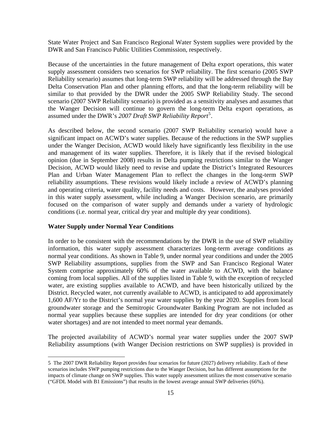State Water Project and San Francisco Regional Water System supplies were provided by the DWR and San Francisco Public Utilities Commission, respectively.

Because of the uncertainties in the future management of Delta export operations, this water supply assessment considers two scenarios for SWP reliability. The first scenario (2005 SWP Reliability scenario) assumes that long-term SWP reliability will be addressed through the Bay Delta Conservation Plan and other planning efforts, and that the long-term reliability will be similar to that provided by the DWR under the 2005 SWP Reliability Study. The second scenario (2007 SWP Reliability scenario) is provided as a sensitivity analyses and assumes that the Wanger Decision will continue to govern the long-term Delta export operations, as assumed under the DWR's *2007 Draft SWP Reliability Report*<sup>5</sup> .

As described below, the second scenario (2007 SWP Reliability scenario) would have a significant impact on ACWD's water supplies. Because of the reductions in the SWP supplies under the Wanger Decision, ACWD would likely have significantly less flexibility in the use and management of its water supplies. Therefore, it is likely that if the revised biological opinion (due in September 2008) results in Delta pumping restrictions similar to the Wanger Decision, ACWD would likely need to revise and update the District's Integrated Resources Plan and Urban Water Management Plan to reflect the changes in the long-term SWP reliability assumptions. These revisions would likely include a review of ACWD's planning and operating criteria, water quality, facility needs and costs. However, the analyses provided in this water supply assessment, while including a Wanger Decision scenario, are primarily focused on the comparison of water supply and demands under a variety of hydrologic conditions (i.e. normal year, critical dry year and multiple dry year conditions).

#### **Water Supply under Normal Year Conditions**

 $\overline{a}$ 

In order to be consistent with the recommendations by the DWR in the use of SWP reliability information, this water supply assessment characterizes long-term average conditions as normal year conditions. As shown in Table 9, under normal year conditions and under the 2005 SWP Reliability assumptions, supplies from the SWP and San Francisco Regional Water System comprise approximately 60% of the water available to ACWD, with the balance coming from local supplies. All of the supplies listed in Table 9, with the exception of recycled water, are existing supplies available to ACWD, and have been historically utilized by the District. Recycled water, not currently available to ACWD, is anticipated to add approximately 1,600 AF/Yr to the District's normal year water supplies by the year 2020. Supplies from local groundwater storage and the Semitropic Groundwater Banking Program are not included as normal year supplies because these supplies are intended for dry year conditions (or other water shortages) and are not intended to meet normal year demands.

The projected availability of ACWD's normal year water supplies under the 2007 SWP Reliability assumptions (with Wanger Decision restrictions on SWP supplies) is provided in

<sup>5</sup> The 2007 DWR Reliability Report provides four scenarios for future (2027) delivery reliability. Each of these scenarios includes SWP pumping restrictions due to the Wanger Decision, but has different assumptions for the impacts of climate change on SWP supplies. This water supply assessment utilizes the most conservative scenario ("GFDL Model with B1 Emissions") that results in the lowest average annual SWP deliveries (66%).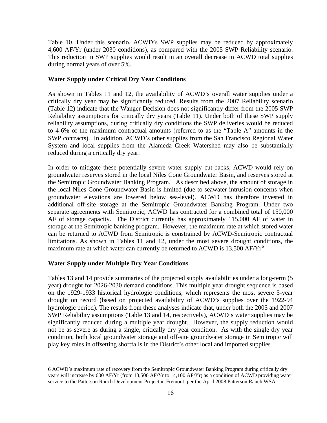Table 10. Under this scenario, ACWD's SWP supplies may be reduced by approximately 4,600 AF/Yr (under 2030 conditions), as compared with the 2005 SWP Reliability scenario. This reduction in SWP supplies would result in an overall decrease in ACWD total supplies during normal years of over 5%.

#### **Water Supply under Critical Dry Year Conditions**

As shown in Tables 11 and 12, the availability of ACWD's overall water supplies under a critically dry year may be significantly reduced. Results from the 2007 Reliability scenario (Table 12) indicate that the Wanger Decision does not significantly differ from the 2005 SWP Reliability assumptions for critically dry years (Table 11). Under both of these SWP supply reliability assumptions, during critically dry conditions the SWP deliveries would be reduced to 4-6% of the maximum contractual amounts (referred to as the "Table A" amounts in the SWP contracts). In addition, ACWD's other supplies from the San Francisco Regional Water System and local supplies from the Alameda Creek Watershed may also be substantially reduced during a critically dry year.

In order to mitigate these potentially severe water supply cut-backs, ACWD would rely on groundwater reserves stored in the local Niles Cone Groundwater Basin, and reserves stored at the Semitropic Groundwater Banking Program. As described above, the amount of storage in the local Niles Cone Groundwater Basin is limited (due to seawater intrusion concerns when groundwater elevations are lowered below sea-level). ACWD has therefore invested in additional off-site storage at the Semitropic Groundwater Banking Program. Under two separate agreements with Semitropic, ACWD has contracted for a combined total of 150,000 AF of storage capacity. The District currently has approximately 115,000 AF of water in storage at the Semitropic banking program. However, the maximum rate at which stored water can be returned to ACWD from Semitropic is constrained by ACWD-Semitropic contractual limitations. As shown in Tables 11 and 12, under the most severe drought conditions, the maximum rate at which water can currently be returned to ACWD is  $13,500$  AF/Yr<sup>6</sup>.

#### **Water Supply under Multiple Dry Year Conditions**

 $\overline{a}$ 

Tables 13 and 14 provide summaries of the projected supply availabilities under a long-term (5 year) drought for 2026-2030 demand conditions. This multiple year drought sequence is based on the 1929-1933 historical hydrologic conditions, which represents the most severe 5-year drought on record (based on projected availability of ACWD's supplies over the 1922-94 hydrologic period). The results from these analyses indicate that, under both the 2005 and 2007 SWP Reliability assumptions (Table 13 and 14, respectively), ACWD's water supplies may be significantly reduced during a multiple year drought. However, the supply reduction would not be as severe as during a single, critically dry year condition. As with the single dry year condition, both local groundwater storage and off-site groundwater storage in Semitropic will play key roles in offsetting shortfalls in the District's other local and imported supplies.

<sup>6</sup> ACWD's maximum rate of recovery from the Semitropic Groundwater Banking Program during critically dry years will increase by 600 AF/Yr (from 13,500 AF/Yr to 14,100 AF/Yr) as a condition of ACWD providing water service to the Patterson Ranch Development Project in Fremont, per the April 2008 Patterson Ranch WSA.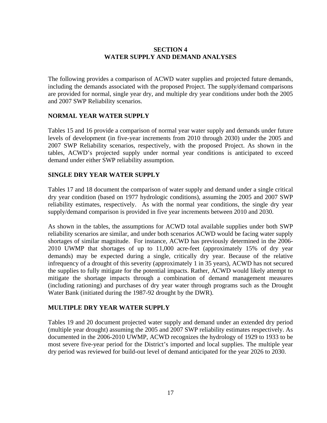## **SECTION 4 WATER SUPPLY AND DEMAND ANALYSES**

The following provides a comparison of ACWD water supplies and projected future demands, including the demands associated with the proposed Project. The supply/demand comparisons are provided for normal, single year dry, and multiple dry year conditions under both the 2005 and 2007 SWP Reliability scenarios.

## **NORMAL YEAR WATER SUPPLY**

Tables 15 and 16 provide a comparison of normal year water supply and demands under future levels of development (in five-year increments from 2010 through 2030) under the 2005 and 2007 SWP Reliability scenarios, respectively, with the proposed Project. As shown in the tables, ACWD's projected supply under normal year conditions is anticipated to exceed demand under either SWP reliability assumption.

## **SINGLE DRY YEAR WATER SUPPLY**

Tables 17 and 18 document the comparison of water supply and demand under a single critical dry year condition (based on 1977 hydrologic conditions), assuming the 2005 and 2007 SWP reliability estimates, respectively. As with the normal year conditions, the single dry year supply/demand comparison is provided in five year increments between 2010 and 2030.

As shown in the tables, the assumptions for ACWD total available supplies under both SWP reliability scenarios are similar, and under both scenarios ACWD would be facing water supply shortages of similar magnitude. For instance, ACWD has previously determined in the 2006- 2010 UWMP that shortages of up to 11,000 acre-feet (approximately 15% of dry year demands) may be expected during a single, critically dry year. Because of the relative infrequency of a drought of this severity (approximately 1 in 35 years), ACWD has not secured the supplies to fully mitigate for the potential impacts. Rather, ACWD would likely attempt to mitigate the shortage impacts through a combination of demand management measures (including rationing) and purchases of dry year water through programs such as the Drought Water Bank (initiated during the 1987-92 drought by the DWR).

#### **MULTIPLE DRY YEAR WATER SUPPLY**

Tables 19 and 20 document projected water supply and demand under an extended dry period (multiple year drought) assuming the 2005 and 2007 SWP reliability estimates respectively. As documented in the 2006-2010 UWMP, ACWD recognizes the hydrology of 1929 to 1933 to be most severe five-year period for the District's imported and local supplies. The multiple year dry period was reviewed for build-out level of demand anticipated for the year 2026 to 2030.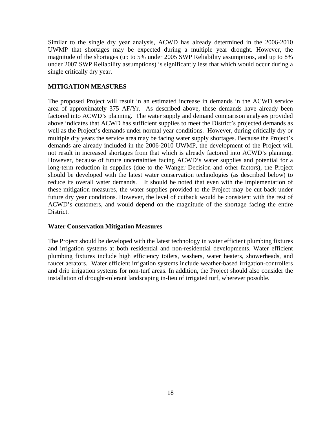Similar to the single dry year analysis, ACWD has already determined in the 2006-2010 UWMP that shortages may be expected during a multiple year drought. However, the magnitude of the shortages (up to 5% under 2005 SWP Reliability assumptions, and up to 8% under 2007 SWP Reliability assumptions) is significantly less that which would occur during a single critically dry year.

## **MITIGATION MEASURES**

The proposed Project will result in an estimated increase in demands in the ACWD service area of approximately 375 AF/Yr. As described above, these demands have already been factored into ACWD's planning. The water supply and demand comparison analyses provided above indicates that ACWD has sufficient supplies to meet the District's projected demands as well as the Project's demands under normal year conditions. However, during critically dry or multiple dry years the service area may be facing water supply shortages. Because the Project's demands are already included in the 2006-2010 UWMP, the development of the Project will not result in increased shortages from that which is already factored into ACWD's planning. However, because of future uncertainties facing ACWD's water supplies and potential for a long-term reduction in supplies (due to the Wanger Decision and other factors), the Project should be developed with the latest water conservation technologies (as described below) to reduce its overall water demands. It should be noted that even with the implementation of these mitigation measures, the water supplies provided to the Project may be cut back under future dry year conditions. However, the level of cutback would be consistent with the rest of ACWD's customers, and would depend on the magnitude of the shortage facing the entire District.

#### **Water Conservation Mitigation Measures**

The Project should be developed with the latest technology in water efficient plumbing fixtures and irrigation systems at both residential and non-residential developments. Water efficient plumbing fixtures include high efficiency toilets, washers, water heaters, showerheads, and faucet aerators. Water efficient irrigation systems include weather-based irrigation-controllers and drip irrigation systems for non-turf areas. In addition, the Project should also consider the installation of drought-tolerant landscaping in-lieu of irrigated turf, wherever possible.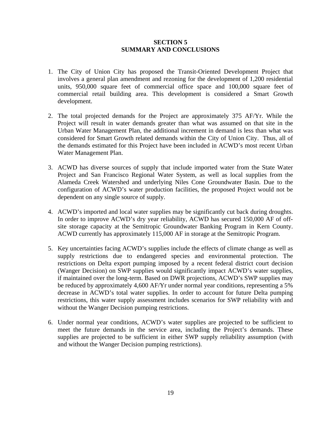#### **SECTION 5 SUMMARY AND CONCLUSIONS**

- 1. The City of Union City has proposed the Transit-Oriented Development Project that involves a general plan amendment and rezoning for the development of 1,200 residential units, 950,000 square feet of commercial office space and 100,000 square feet of commercial retail building area. This development is considered a Smart Growth development.
- 2. The total projected demands for the Project are approximately 375 AF/Yr. While the Project will result in water demands greater than what was assumed on that site in the Urban Water Management Plan, the additional increment in demand is less than what was considered for Smart Growth related demands within the City of Union City. Thus, all of the demands estimated for this Project have been included in ACWD's most recent Urban Water Management Plan.
- 3. ACWD has diverse sources of supply that include imported water from the State Water Project and San Francisco Regional Water System, as well as local supplies from the Alameda Creek Watershed and underlying Niles Cone Groundwater Basin. Due to the configuration of ACWD's water production facilities, the proposed Project would not be dependent on any single source of supply.
- 4. ACWD's imported and local water supplies may be significantly cut back during droughts. In order to improve ACWD's dry year reliability, ACWD has secured 150,000 AF of offsite storage capacity at the Semitropic Groundwater Banking Program in Kern County. ACWD currently has approximately 115,000 AF in storage at the Semitropic Program.
- 5. Key uncertainties facing ACWD's supplies include the effects of climate change as well as supply restrictions due to endangered species and environmental protection. The restrictions on Delta export pumping imposed by a recent federal district court decision (Wanger Decision) on SWP supplies would significantly impact ACWD's water supplies, if maintained over the long-term. Based on DWR projections, ACWD's SWP supplies may be reduced by approximately 4,600 AF/Yr under normal year conditions, representing a 5% decrease in ACWD's total water supplies. In order to account for future Delta pumping restrictions, this water supply assessment includes scenarios for SWP reliability with and without the Wanger Decision pumping restrictions.
- 6. Under normal year conditions, ACWD's water supplies are projected to be sufficient to meet the future demands in the service area, including the Project's demands. These supplies are projected to be sufficient in either SWP supply reliability assumption (with and without the Wanger Decision pumping restrictions).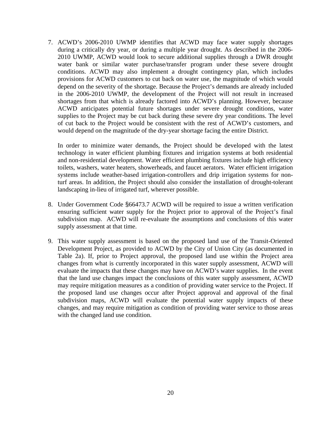7. ACWD's 2006-2010 UWMP identifies that ACWD may face water supply shortages during a critically dry year, or during a multiple year drought. As described in the 2006- 2010 UWMP, ACWD would look to secure additional supplies through a DWR drought water bank or similar water purchase/transfer program under these severe drought conditions. ACWD may also implement a drought contingency plan, which includes provisions for ACWD customers to cut back on water use, the magnitude of which would depend on the severity of the shortage. Because the Project's demands are already included in the 2006-2010 UWMP, the development of the Project will not result in increased shortages from that which is already factored into ACWD's planning. However, because ACWD anticipates potential future shortages under severe drought conditions, water supplies to the Project may be cut back during these severe dry year conditions. The level of cut back to the Project would be consistent with the rest of ACWD's customers, and would depend on the magnitude of the dry-year shortage facing the entire District.

In order to minimize water demands, the Project should be developed with the latest technology in water efficient plumbing fixtures and irrigation systems at both residential and non-residential development. Water efficient plumbing fixtures include high efficiency toilets, washers, water heaters, showerheads, and faucet aerators. Water efficient irrigation systems include weather-based irrigation-controllers and drip irrigation systems for nonturf areas. In addition, the Project should also consider the installation of drought-tolerant landscaping in-lieu of irrigated turf, wherever possible.

- 8. Under Government Code §66473.7 ACWD will be required to issue a written verification ensuring sufficient water supply for the Project prior to approval of the Project's final subdivision map. ACWD will re-evaluate the assumptions and conclusions of this water supply assessment at that time.
- 9. This water supply assessment is based on the proposed land use of the Transit-Oriented Development Project, as provided to ACWD by the City of Union City (as documented in Table 2a). If, prior to Project approval, the proposed land use within the Project area changes from what is currently incorporated in this water supply assessment, ACWD will evaluate the impacts that these changes may have on ACWD's water supplies. In the event that the land use changes impact the conclusions of this water supply assessment, ACWD may require mitigation measures as a condition of providing water service to the Project. If the proposed land use changes occur after Project approval and approval of the final subdivision maps, ACWD will evaluate the potential water supply impacts of these changes, and may require mitigation as condition of providing water service to those areas with the changed land use condition.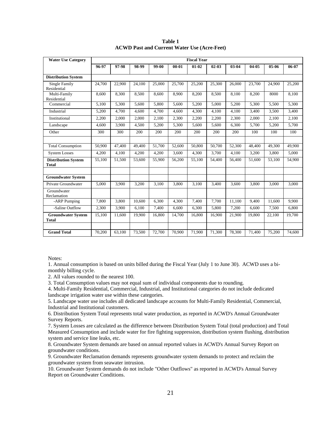| <b>Water Use Category</b>                  | <b>Fiscal Year</b> |        |        |        |           |           |           |        |        |        |        |
|--------------------------------------------|--------------------|--------|--------|--------|-----------|-----------|-----------|--------|--------|--------|--------|
|                                            | 96-97              | 97-98  | 98-99  | 99-00  | $00 - 01$ | $01 - 02$ | $02 - 03$ | 03-04  | 04-05  | 05-06  | 06-07  |
| <b>Distribution System</b>                 |                    |        |        |        |           |           |           |        |        |        |        |
| <b>Single Family</b><br>Residential        | 24,700             | 22,900 | 24,100 | 25,000 | 25,700    | 25,200    | 25,300    | 26,000 | 23,700 | 24,900 | 25,200 |
| Multi-Family<br>Residential                | 8,600              | 8,300  | 8,500  | 8,600  | 8,900     | 8,200     | 8,500     | 8,100  | 8,200  | 8000   | 8,100  |
| Commercial                                 | 5,100              | 5,300  | 5,600  | 5,800  | 5,600     | 5,200     | 5,000     | 5,200  | 5,300  | 5,500  | 5,300  |
| Industrial                                 | 5,200              | 4,700  | 4,600  | 4,700  | 4,600     | 4,300     | 4,100     | 4,100  | 3,400  | 3,500  | 3,400  |
| Institutional                              | 2,200              | 2,000  | 2,000  | 2,100  | 2,300     | 2,200     | 2,200     | 2,300  | 2,000  | 2,100  | 2,100  |
| Landscape                                  | 4.600              | 3.900  | 4,500  | 5,200  | 5,300     | 5.600     | 5.600     | 6,300  | 5,700  | 5,200  | 5.700  |
| Other                                      | 300                | 300    | 200    | 200    | 200       | 200       | 200       | 200    | 100    | 100    | 100    |
|                                            |                    |        |        |        |           |           |           |        |        |        |        |
| <b>Total Consumption</b>                   | 50,900             | 47,400 | 49,400 | 51,700 | 52,600    | 50,800    | 50,700    | 52,300 | 48,400 | 49,300 | 49,900 |
| <b>System Losses</b>                       | 4,200              | 4,100  | 4,200  | 4,200  | 3,600     | 4,300     | 3,700     | 4,100  | 3,200  | 3,800  | 5,000  |
| <b>Distribution System</b><br><b>Total</b> | 55,100             | 51,500 | 53,600 | 55,900 | 56,200    | 55,100    | 54,400    | 56,400 | 51,600 | 53,100 | 54,900 |
|                                            |                    |        |        |        |           |           |           |        |        |        |        |
| <b>Groundwater System</b>                  |                    |        |        |        |           |           |           |        |        |        |        |
| Private Groundwater                        | 5,000              | 3,900  | 3,200  | 3,100  | 3,800     | 3,100     | 3,400     | 3,600  | 3,800  | 3,000  | 3,000  |
| Groundwater<br>Reclamation                 |                    |        |        |        |           |           |           |        |        |        |        |
| -ARP Pumping                               | 7,800              | 3,800  | 10,600 | 6,300  | 4,300     | 7,400     | 7,700     | 11,100 | 9,400  | 11,600 | 9,900  |
| -Saline Outflow                            | 2,300              | 3,900  | 6,100  | 7,400  | 6,600     | 6,300     | 5,800     | 7,200  | 6,600  | 7,500  | 6,800  |
| <b>Groundwater System</b><br><b>Total</b>  | 15,100             | 11.600 | 19.900 | 16,800 | 14,700    | 16,800    | 16.900    | 21,900 | 19,800 | 22,100 | 19,700 |
|                                            |                    |        |        |        |           |           |           |        |        |        |        |
| <b>Grand Total</b>                         | 70,200             | 63,100 | 73,500 | 72,700 | 70,900    | 71,900    | 71,300    | 78,300 | 71,400 | 75,200 | 74,600 |

**Table 1 ACWD Past and Current Water Use (Acre-Feet)** 

1. Annual consumption is based on units billed during the Fiscal Year (July 1 to June 30). ACWD uses a bimonthly billing cycle.

2. All values rounded to the nearest 100.

3. Total Consumption values may not equal sum of individual components due to rounding.

4. Multi-Family Residential, Commercial, Industrial, and Institutional categories do not include dedicated landscape irrigation water use within these categories.

5. Landscape water use includes all dedicated landscape accounts for Multi-Family Residential, Commercial, Industrial and Institutional customers.

6. Distribution System Total represents total water production, as reported in ACWD's Annual Groundwater Survey Reports.

7. System Losses are calculated as the difference between Distribution System Total (total production) and Total Measured Consumption and include water for fire fighting suppression, distribution system flushing, distribution system and service line leaks, etc.

8. Groundwater System demands are based on annual reported values in ACWD's Annual Survey Report on groundwater conditions.

9. Groundwater Reclamation demands represents groundwater system demands to protect and reclaim the groundwater system from seawater intrusion.

10. Groundwater System demands do not include "Other Outflows" as reported in ACWD's Annual Survey Report on Groundwater Conditions.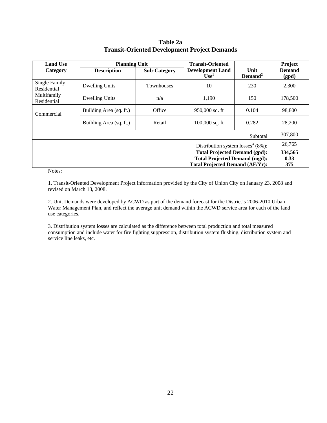**Table 2a Transit-Oriented Development Project Demands** 

| <b>Land Use</b>                      | <b>Planning Unit</b>                 |                     | <b>Transit-Oriented</b>                       |                   | Project                |  |  |
|--------------------------------------|--------------------------------------|---------------------|-----------------------------------------------|-------------------|------------------------|--|--|
| Category                             | <b>Description</b>                   | <b>Sub-Category</b> | <b>Development Land</b><br>Use <sup>1</sup>   | Unit<br>$Demand2$ | <b>Demand</b><br>(gpd) |  |  |
| Single Family<br>Residential         | <b>Dwelling Units</b>                | <b>Townhouses</b>   | 10                                            | 230               | 2,300                  |  |  |
| Multifamily<br>Residential           | <b>Dwelling Units</b>                | n/a                 | 1,190                                         | 150               | 178,500                |  |  |
| Commercial                           | Building Area (sq. ft.)              | Office              | 950,000 sq. ft                                | 0.104             | 98,800                 |  |  |
|                                      | Building Area (sq. ft.)              | Retail              | $100,000$ sq. ft                              | 0.282             | 28,200                 |  |  |
|                                      |                                      |                     |                                               | Subtotal          | 307,800                |  |  |
|                                      |                                      |                     | Distribution system losses <sup>3</sup> (8%): |                   | 26,765                 |  |  |
|                                      | <b>Total Projected Demand (gpd):</b> |                     |                                               |                   |                        |  |  |
| <b>Total Projected Demand (mgd):</b> |                                      |                     |                                               |                   |                        |  |  |
|                                      |                                      |                     | <b>Total Projected Demand (AF/Yr):</b>        |                   | 375                    |  |  |

1. Transit-Oriented Development Project information provided by the City of Union City on January 23, 2008 and revised on March 13, 2008.

2. Unit Demands were developed by ACWD as part of the demand forecast for the District's 2006-2010 Urban Water Management Plan, and reflect the average unit demand within the ACWD service area for each of the land use categories.

3. Distribution system losses are calculated as the difference between total production and total measured consumption and include water for fire fighting suppression, distribution system flushing, distribution system and service line leaks, etc.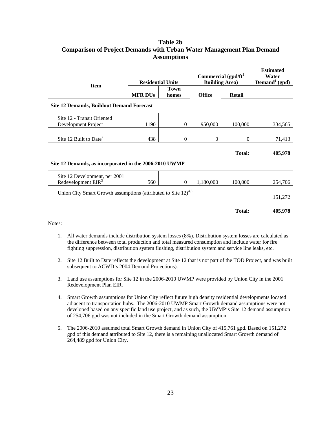## **Table 2b Comparison of Project Demands with Urban Water Management Plan Demand Assumptions**

| <b>Item</b>                                                                | <b>Residential Units</b> |             | Commercial (gpd/ft <sup>2</sup> )<br><b>Building Area)</b> | <b>Estimated</b><br>Water<br>Demand <sup>1</sup> (gpd) |         |
|----------------------------------------------------------------------------|--------------------------|-------------|------------------------------------------------------------|--------------------------------------------------------|---------|
|                                                                            |                          | <b>Town</b> |                                                            |                                                        |         |
|                                                                            | <b>MFR DUs</b>           | homes       | <b>Office</b>                                              | <b>Retail</b>                                          |         |
| <b>Site 12 Demands, Buildout Demand Forecast</b>                           |                          |             |                                                            |                                                        |         |
| Site 12 - Transit Oriented                                                 |                          |             |                                                            |                                                        |         |
| Development Project                                                        | 1190                     | 10          | 950,000                                                    | 100,000                                                | 334,565 |
|                                                                            |                          |             |                                                            |                                                        |         |
| Site 12 Built to Date <sup>2</sup>                                         | 438                      | $\theta$    | $\Omega$                                                   | $\Omega$                                               | 71,413  |
|                                                                            |                          |             |                                                            |                                                        |         |
|                                                                            |                          |             |                                                            | Total:                                                 | 405,978 |
| Site 12 Demands, as incorporated in the 2006-2010 UWMP                     |                          |             |                                                            |                                                        |         |
| Site 12 Development, per 2001                                              |                          |             |                                                            |                                                        |         |
| Redevelopment EIR <sup>3</sup>                                             | 560                      | $\theta$    | 1,180,000                                                  | 100,000                                                | 254,706 |
| Union City Smart Growth assumptions (attributed to Site 12) <sup>4,5</sup> |                          |             |                                                            |                                                        |         |
|                                                                            |                          |             |                                                            |                                                        | 151,272 |
|                                                                            |                          |             |                                                            |                                                        |         |
|                                                                            |                          |             |                                                            | Total:                                                 | 405,978 |

Notes:

- 1. All water demands include distribution system losses (8%). Distribution system losses are calculated as the difference between total production and total measured consumption and include water for fire fighting suppression, distribution system flushing, distribution system and service line leaks, etc.
- 2. Site 12 Built to Date reflects the development at Site 12 that is not part of the TOD Project, and was built subsequent to ACWD's 2004 Demand Projections).
- 3. Land use assumptions for Site 12 in the 2006-2010 UWMP were provided by Union City in the 2001 Redevelopment Plan EIR.
- 4. Smart Growth assumptions for Union City reflect future high density residential developments located adjacent to transportation hubs. The 2006-2010 UWMP Smart Growth demand assumptions were not developed based on any specific land use project, and as such, the UWMP's Site 12 demand assumption of 254,706 gpd was not included in the Smart Growth demand assumption.
- 5. The 2006-2010 assumed total Smart Growth demand in Union City of 415,761 gpd. Based on 151,272 gpd of this demand attributed to Site 12, there is a remaining unallocated Smart Growth demand of 264,489 gpd for Union City.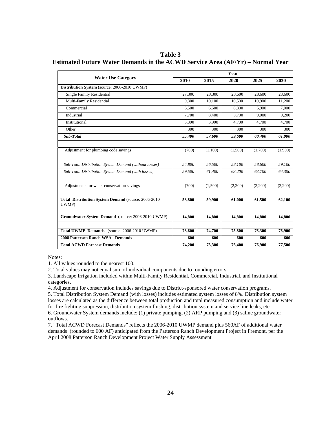**Table 3 Estimated Future Water Demands in the ACWD Service Area (AF/Yr) – Normal Year** 

|                                                               | Year   |         |         |         |         |  |  |
|---------------------------------------------------------------|--------|---------|---------|---------|---------|--|--|
| <b>Water Use Category</b>                                     | 2010   | 2015    | 2020    | 2025    | 2030    |  |  |
| Distribution System (source: 2006-2010 UWMP)                  |        |         |         |         |         |  |  |
| <b>Single Family Residential</b>                              | 27,300 | 28,300  | 28,600  | 28.600  | 28,600  |  |  |
| Multi-Family Residential                                      | 9.800  | 10.100  | 10.500  | 10.900  | 11,200  |  |  |
| Commercial                                                    | 6,500  | 6,600   | 6,800   | 6,900   | 7,000   |  |  |
| Industrial                                                    | 7.700  | 8,400   | 8.700   | 9.000   | 9.200   |  |  |
| Institutional                                                 | 3.800  | 3,900   | 4.700   | 4.700   | 4,700   |  |  |
| Other                                                         | 300    | 300     | 300     | 300     | 300     |  |  |
| Sub-Total                                                     | 55,400 | 57,600  | 59,600  | 60,400  | 61,000  |  |  |
| Adjustment for plumbing code savings                          | (700)  | (1,100) | (1,500) | (1,700) | (1,900) |  |  |
|                                                               |        |         |         |         |         |  |  |
| Sub-Total Distribution System Demand (without losses)         | 54.800 | 56.500  | 58,100  | 58.600  | 59.100  |  |  |
| Sub-Total Distribution System Demand (with losses)            | 59.500 | 61.400  | 63.200  | 63.700  | 64.300  |  |  |
| Adjustments for water conservation savings                    | (700)  | (1,500) | (2,200) | (2,200) | (2,200) |  |  |
| Total Distribution System Demand (source: 2006-2010)<br>UWMP) | 58,800 | 59,900  | 61,000  | 61,500  | 62,100  |  |  |
|                                                               |        |         |         |         |         |  |  |
| Groundwater System Demand (source: 2006-2010 UWMP)            | 14,800 | 14,800  | 14,800  | 14,800  | 14,800  |  |  |
| Total UWMP Demands (source: 2006-2010 UWMP)                   | 73,600 | 74,700  | 75,800  | 76,300  | 76,900  |  |  |
| 2008 Patterson Ranch WSA - Demands                            | 600    | 600     | 600     | 600     | 600     |  |  |
| <b>Total ACWD Forecast Demands</b>                            | 74,200 | 75,300  | 76,400  | 76,900  | 77,500  |  |  |

1. All values rounded to the nearest 100.

2. Total values may not equal sum of individual components due to rounding errors.

3. Landscape Irrigation included within Multi-Family Residential, Commercial, Industrial, and Institutional categories.

4. Adjustment for conservation includes savings due to District-sponsored water conservation programs.

5. Total Distribution System Demand (with losses) includes estimated system losses of 8%. Distribution system losses are calculated as the difference between total production and total measured consumption and include water for fire fighting suppression, distribution system flushing, distribution system and service line leaks, etc. 6. Groundwater System demands include: (1) private pumping, (2) ARP pumping and (3) saline groundwater outflows.

7. "Total ACWD Forecast Demands" reflects the 2006-2010 UWMP demand plus 560AF of additional water demands (rounded to 600 AF) anticipated from the Patterson Ranch Development Project in Fremont, per the April 2008 Patterson Ranch Development Project Water Supply Assessment.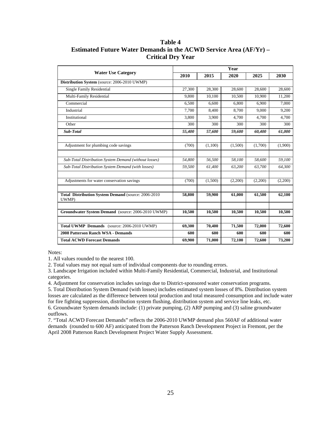**Table 4 Estimated Future Water Demands in the ACWD Service Area (AF/Yr) – Critical Dry Year** 

|                                                               | Year   |         |         |         |         |  |  |  |
|---------------------------------------------------------------|--------|---------|---------|---------|---------|--|--|--|
| <b>Water Use Category</b>                                     | 2010   | 2015    | 2020    | 2025    | 2030    |  |  |  |
| Distribution System (source: 2006-2010 UWMP)                  |        |         |         |         |         |  |  |  |
| <b>Single Family Residential</b>                              | 27,300 | 28,300  | 28,600  | 28,600  | 28,600  |  |  |  |
| Multi-Family Residential                                      | 9,800  | 10,100  | 10,500  | 10,900  | 11,200  |  |  |  |
| Commercial                                                    | 6.500  | 6.600   | 6.800   | 6.900   | 7.000   |  |  |  |
| Industrial                                                    | 7.700  | 8.400   | 8.700   | 9.000   | 9.200   |  |  |  |
| Institutional                                                 | 3.800  | 3.900   | 4.700   | 4,700   | 4.700   |  |  |  |
| Other                                                         | 300    | 300     | 300     | 300     | 300     |  |  |  |
| Sub-Total                                                     | 55,400 | 57,600  | 59,600  | 60,400  | 61,000  |  |  |  |
| Adjustment for plumbing code savings                          | (700)  | (1,100) | (1,500) | (1,700) | (1,900) |  |  |  |
| Sub-Total Distribution System Demand (without losses)         | 54,800 | 56,500  | 58,100  | 58,600  | 59,100  |  |  |  |
| Sub-Total Distribution System Demand (with losses)            | 59,500 | 61,400  | 63,200  | 63,700  | 64,300  |  |  |  |
| Adjustments for water conservation savings                    | (700)  | (1,500) | (2,200) | (2,200) | (2,200) |  |  |  |
| Total Distribution System Demand (source: 2006-2010)<br>UWMP) | 58,800 | 59,900  | 61,000  | 61,500  | 62,100  |  |  |  |
| Groundwater System Demand (source: 2006-2010 UWMP)            | 10,500 | 10,500  | 10,500  | 10,500  | 10,500  |  |  |  |
| Total UWMP Demands (source: 2006-2010 UWMP)                   | 69,300 | 70.400  | 71,500  | 72,000  | 72,600  |  |  |  |
| 2008 Patterson Ranch WSA - Demands                            | 600    | 600     | 600     | 600     | 600     |  |  |  |
| <b>Total ACWD Forecast Demands</b>                            | 69,900 | 71,000  | 72,100  | 72,600  | 73,200  |  |  |  |

1. All values rounded to the nearest 100.

2. Total values may not equal sum of individual components due to rounding errors.

3. Landscape Irrigation included within Multi-Family Residential, Commercial, Industrial, and Institutional categories.

4. Adjustment for conservation includes savings due to District-sponsored water conservation programs.

5. Total Distribution System Demand (with losses) includes estimated system losses of 8%. Distribution system losses are calculated as the difference between total production and total measured consumption and include water for fire fighting suppression, distribution system flushing, distribution system and service line leaks, etc. 6. Groundwater System demands include: (1) private pumping, (2) ARP pumping and (3) saline groundwater

outflows.

7. "Total ACWD Forecast Demands" reflects the 2006-2010 UWMP demand plus 560AF of additional water demands (rounded to 600 AF) anticipated from the Patterson Ranch Development Project in Fremont, per the April 2008 Patterson Ranch Development Project Water Supply Assessment.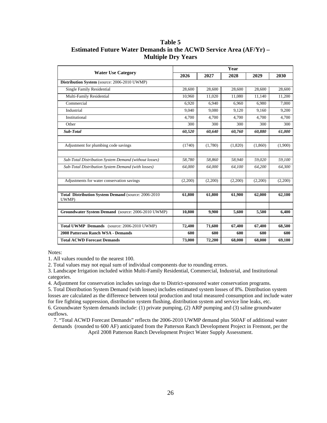**Table 5 Estimated Future Water Demands in the ACWD Service Area (AF/Yr) – Multiple Dry Years** 

|                                                              | Year    |         |         |         |         |  |  |  |
|--------------------------------------------------------------|---------|---------|---------|---------|---------|--|--|--|
| <b>Water Use Category</b>                                    | 2026    | 2027    | 2028    | 2029    | 2030    |  |  |  |
| Distribution System (source: 2006-2010 UWMP)                 |         |         |         |         |         |  |  |  |
| <b>Single Family Residential</b>                             | 28,600  | 28,600  | 28,600  | 28,600  | 28,600  |  |  |  |
| Multi-Family Residential                                     | 10,960  | 11,020  | 11,080  | 11,140  | 11,200  |  |  |  |
| Commercial                                                   | 6.920   | 6,940   | 6,960   | 6,980   | 7,000   |  |  |  |
| Industrial                                                   | 9.040   | 9.080   | 9.120   | 9,160   | 9,200   |  |  |  |
| Institutional                                                | 4.700   | 4,700   | 4,700   | 4,700   | 4,700   |  |  |  |
| Other                                                        | 300     | 300     | 300     | 300     | 300     |  |  |  |
| Sub-Total                                                    | 60,520  | 60,640  | 60,760  | 60,880  | 61,000  |  |  |  |
| Adjustment for plumbing code savings                         | (1740)  | (1,780) | (1,820) | (1,860) | (1,900) |  |  |  |
| Sub-Total Distribution System Demand (without losses)        | 58,780  | 58,860  | 58,940  | 59,020  | 59,100  |  |  |  |
| Sub-Total Distribution System Demand (with losses)           | 64,000  | 64,000  | 64,100  | 64,200  | 64,300  |  |  |  |
| Adjustments for water conservation savings                   | (2,200) | (2,200) | (2,200) | (2,200) | (2,200) |  |  |  |
| Total Distribution System Demand (source: 2006-2010<br>UWMP) | 61,800  | 61,800  | 61,900  | 62,000  | 62,100  |  |  |  |
| Groundwater System Demand (source: 2006-2010 UWMP)           | 10,800  | 9,900   | 5,600   | 5,500   | 6,400   |  |  |  |
| Total UWMP Demands (source: 2006-2010 UWMP)                  | 72,400  | 71.600  | 67,400  | 67.400  | 68.500  |  |  |  |
| 2008 Patterson Ranch WSA - Demands                           | 600     | 600     | 600     | 600     | 600     |  |  |  |
| <b>Total ACWD Forecast Demands</b>                           | 73,000  | 72,200  | 68,000  | 68,000  | 69,100  |  |  |  |

1. All values rounded to the nearest 100.

2. Total values may not equal sum of individual components due to rounding errors.

3. Landscape Irrigation included within Multi-Family Residential, Commercial, Industrial, and Institutional categories.

4. Adjustment for conservation includes savings due to District-sponsored water conservation programs.

5. Total Distribution System Demand (with losses) includes estimated system losses of 8%. Distribution system losses are calculated as the difference between total production and total measured consumption and include water for fire fighting suppression, distribution system flushing, distribution system and service line leaks, etc. 6. Groundwater System demands include: (1) private pumping, (2) ARP pumping and (3) saline groundwater outflows.

7. "Total ACWD Forecast Demands" reflects the 2006-2010 UWMP demand plus 560AF of additional water demands (rounded to 600 AF) anticipated from the Patterson Ranch Development Project in Fremont, per the April 2008 Patterson Ranch Development Project Water Supply Assessment.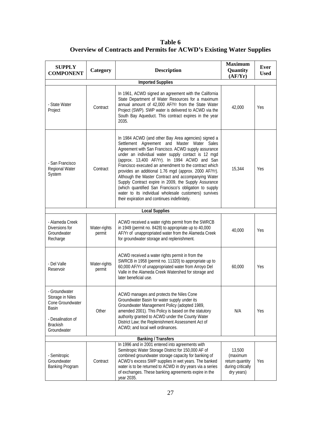**Table 6 Overview of Contracts and Permits for ACWD's Existing Water Supplies** 

| <b>SUPPLY</b><br><b>COMPONENT</b>                                                                                            | Category               | <b>Description</b>                                                                                                                                                                                                                                                                                                                                                                                                                                                                                                                                                                                                                                                  | <b>Maximum</b><br><b>Quantity</b><br>(AF/Yr)                             | Ever<br><b>Used</b> |  |  |  |  |  |
|------------------------------------------------------------------------------------------------------------------------------|------------------------|---------------------------------------------------------------------------------------------------------------------------------------------------------------------------------------------------------------------------------------------------------------------------------------------------------------------------------------------------------------------------------------------------------------------------------------------------------------------------------------------------------------------------------------------------------------------------------------------------------------------------------------------------------------------|--------------------------------------------------------------------------|---------------------|--|--|--|--|--|
| <b>Imported Supplies</b>                                                                                                     |                        |                                                                                                                                                                                                                                                                                                                                                                                                                                                                                                                                                                                                                                                                     |                                                                          |                     |  |  |  |  |  |
| - State Water<br>Project                                                                                                     | Contract               | In 1961, ACWD signed an agreement with the California<br>State Department of Water Resources for a maximum<br>annual amount of 42,000 AF/Yr from the State Water<br>Project (SWP). SWP water is delivered to ACWD via the<br>South Bay Aqueduct. This contract expires in the year<br>2035.                                                                                                                                                                                                                                                                                                                                                                         | 42,000                                                                   | Yes                 |  |  |  |  |  |
| - San Francisco<br>Regional Water<br>System                                                                                  | Contract               | In 1984 ACWD (and other Bay Area agencies) signed a<br>Settlement Agreement and Master Water Sales<br>Agreement with San Francisco. ACWD supply assurance<br>under an individual water supply contact is 12 mgd<br>(approx. 13,400 AF/Yr). In 1994 ACWD and San<br>Francisco executed an amendment to the contract which<br>provides an additional 1.76 mgd (approx. 2000 AF/Yr).<br>Although the Master Contract and accompanying Water<br>Supply Contract expire in 2009, the Supply Assurance<br>(which quantified San Francisco's obligation to supply<br>water to its individual wholesale customers) survives<br>their expiration and continues indefinitely. | 15,344                                                                   | Yes                 |  |  |  |  |  |
|                                                                                                                              |                        | <b>Local Supplies</b>                                                                                                                                                                                                                                                                                                                                                                                                                                                                                                                                                                                                                                               |                                                                          |                     |  |  |  |  |  |
| - Alameda Creek<br>Diversions for<br>Groundwater<br>Recharge                                                                 | Water-rights<br>permit | ACWD received a water rights permit from the SWRCB<br>in 1949 (permit no. 8428) to appropriate up to 40,000<br>AF/Yr of unappropriated water from the Alameda Creek<br>for groundwater storage and replenishment.                                                                                                                                                                                                                                                                                                                                                                                                                                                   | 40,000                                                                   | Yes                 |  |  |  |  |  |
| - Del Valle<br>Reservoir                                                                                                     | Water-rights<br>permit | ACWD received a water rights permit in from the<br>SWRCB in 1958 (permit no. 11320) to appropriate up to<br>60,000 AF/Yr of unappropriated water from Arroyo Del<br>Valle in the Alameda Creek Watershed for storage and<br>later beneficial use.                                                                                                                                                                                                                                                                                                                                                                                                                   | 60,000                                                                   | Yes                 |  |  |  |  |  |
| - Groundwater<br>Storage in Niles<br>Cone Groundwater<br><b>Basin</b><br>- Desalination of<br><b>Brackish</b><br>Groundwater | Other                  | ACWD manages and protects the Niles Cone<br>Groundwater Basin for water supply under its<br>Groundwater Management Policy (adopted 1989,<br>amended 2001). This Policy is based on the statutory<br>authority granted to ACWD under the County Water<br>District Law; the Replenishment Assessment Act of<br>ACWD; and local well ordinances.                                                                                                                                                                                                                                                                                                                       | N/A                                                                      | Yes                 |  |  |  |  |  |
|                                                                                                                              |                        | <b>Banking / Transfers</b>                                                                                                                                                                                                                                                                                                                                                                                                                                                                                                                                                                                                                                          |                                                                          |                     |  |  |  |  |  |
| - Semitropic<br>Groundwater<br><b>Banking Program</b>                                                                        | Contract               | In 1996 and in 2001 entered into agreements with<br>Semitropic Water Storage District for 150,000 AF of<br>combined groundwater storage capacity for banking of<br>ACWD's excess SWP supplies in wet years. The banked<br>water is to be returned to ACWD in dry years via a series<br>of exchanges. These banking agreements expire in the<br>year 2035.                                                                                                                                                                                                                                                                                                           | 13,500<br>(maximum<br>return quantity<br>during critically<br>dry years) | Yes                 |  |  |  |  |  |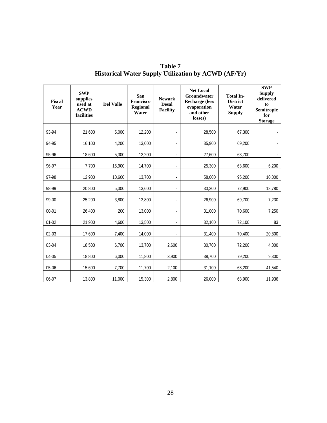| <b>Fiscal</b><br>Year | <b>SWP</b><br>supplies<br>used at<br><b>ACWD</b><br>facilities | <b>Del Valle</b> | San<br>Francisco<br><b>Regional</b><br>Water | <b>Newark</b><br><b>Desal</b><br><b>Facility</b> | <b>Net Local</b><br>Groundwater<br><b>Recharge</b> (less<br>evaporation<br>and other<br>losses) | <b>Total In-</b><br><b>District</b><br>Water<br><b>Supply</b> | <b>SWP</b><br><b>Supply</b><br>delivered<br>to<br>Semitropic<br>for<br><b>Storage</b> |
|-----------------------|----------------------------------------------------------------|------------------|----------------------------------------------|--------------------------------------------------|-------------------------------------------------------------------------------------------------|---------------------------------------------------------------|---------------------------------------------------------------------------------------|
| 93-94                 | 21,600                                                         | 5,000            | 12,200                                       |                                                  | 28,500                                                                                          | 67,300                                                        |                                                                                       |
| 94-95                 | 16,100                                                         | 4,200            | 13,000                                       |                                                  | 35,900                                                                                          | 69,200                                                        |                                                                                       |
| 95-96                 | 18,600                                                         | 5,300            | 12,200                                       |                                                  | 27,600                                                                                          | 63,700                                                        |                                                                                       |
| 96-97                 | 7,700                                                          | 15,900           | 14,700                                       |                                                  | 25,300                                                                                          | 63,600                                                        | 6,200                                                                                 |
| 97-98                 | 12,900                                                         | 10,600           | 13,700                                       |                                                  | 58,000                                                                                          | 95,200                                                        | 10,000                                                                                |
| 98-99                 | 20,800                                                         | 5,300            | 13,600                                       |                                                  | 33,200                                                                                          | 72,900                                                        | 18,780                                                                                |
| 99-00                 | 25,200                                                         | 3,800            | 13,800                                       |                                                  | 26,900                                                                                          | 69,700                                                        | 7,230                                                                                 |
| $00 - 01$             | 26,400                                                         | 200              | 13,000                                       |                                                  | 31,000                                                                                          | 70,600                                                        | 7,250                                                                                 |
| $01 - 02$             | 21,900                                                         | 4,600            | 13,500                                       |                                                  | 32,100                                                                                          | 72,100                                                        | 83                                                                                    |
| $02 - 03$             | 17,600                                                         | 7,400            | 14,000                                       |                                                  | 31,400                                                                                          | 70,400                                                        | 20,800                                                                                |
| 03-04                 | 18,500                                                         | 6,700            | 13,700                                       | 2,600                                            | 30,700                                                                                          | 72,200                                                        | 4,000                                                                                 |
| 04-05                 | 18,800                                                         | 6.000            | 11,800                                       | 3,900                                            | 38,700                                                                                          | 79,200                                                        | 9,300                                                                                 |
| 05-06                 | 15,600                                                         | 7,700            | 11,700                                       | 2,100                                            | 31,100                                                                                          | 68,200                                                        | 41,540                                                                                |
| 06-07                 | 13,800                                                         | 11,000           | 15,300                                       | 2,800                                            | 26,000                                                                                          | 68,900                                                        | 11,936                                                                                |

**Table 7 Historical Water Supply Utilization by ACWD (AF/Yr)**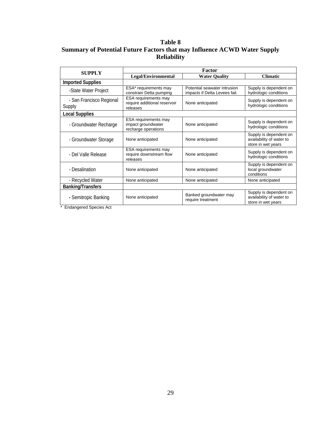## **Table 8 Summary of Potential Future Factors that may Influence ACWD Water Supply Reliability**

| <b>SUPPLY</b>                      | Factor                                                            |                                                               |                                                                          |  |  |  |  |  |
|------------------------------------|-------------------------------------------------------------------|---------------------------------------------------------------|--------------------------------------------------------------------------|--|--|--|--|--|
|                                    | Legal/Environmental                                               | <b>Climatic</b>                                               |                                                                          |  |  |  |  |  |
| <b>Imported Supplies</b>           |                                                                   |                                                               |                                                                          |  |  |  |  |  |
| -State Water Project               | ESA* requirements may<br>constrain Delta pumping                  | Potential seawater intrusion<br>impacts if Delta Levees fail. | Supply is dependent on<br>hydrologic conditions                          |  |  |  |  |  |
| - San Francisco Regional<br>Supply | ESA requirements may<br>require additional reservoir<br>releases  | None anticipated                                              | Supply is dependent on<br>hydrologic conditions                          |  |  |  |  |  |
| <b>Local Supplies</b>              |                                                                   |                                                               |                                                                          |  |  |  |  |  |
| - Groundwater Recharge             | ESA requirements may<br>impact groundwater<br>recharge operations | None anticipated                                              | Supply is dependent on<br>hydrologic conditions                          |  |  |  |  |  |
| - Groundwater Storage              | None anticipated                                                  | None anticipated                                              | Supply is dependent on<br>availability of water to<br>store in wet years |  |  |  |  |  |
| - Del Valle Release                | ESA requirements may<br>require downstream flow<br>releases       | None anticipated                                              | Supply is dependent on<br>hydrologic conditions                          |  |  |  |  |  |
| - Desalination                     | None anticipated                                                  | None anticipated                                              | Supply is dependent on<br>local groundwater<br>conditions                |  |  |  |  |  |
| - Recycled Water                   | None anticipated                                                  | None anticipated                                              | None anticipated                                                         |  |  |  |  |  |
| <b>Banking/Transfers</b>           |                                                                   |                                                               |                                                                          |  |  |  |  |  |
| - Semitropic Banking               | None anticipated                                                  | Banked groundwater may<br>require treatment                   | Supply is dependent on<br>availability of water to<br>store in wet years |  |  |  |  |  |
| <b>Endangered Species Act</b>      |                                                                   |                                                               |                                                                          |  |  |  |  |  |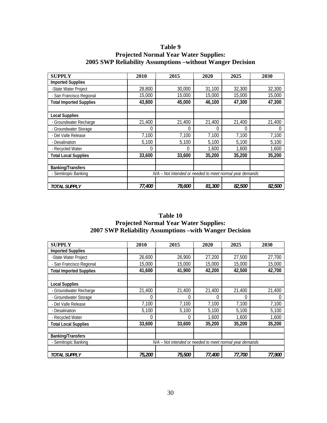## **Table 9 Projected Normal Year Water Supplies: 2005 SWP Reliability Assumptions –without Wanger Decision**

| <b>SUPPLY</b>                  | 2010   | 2015                                                     | 2020   | 2025   | 2030          |
|--------------------------------|--------|----------------------------------------------------------|--------|--------|---------------|
| <b>Imported Supplies</b>       |        |                                                          |        |        |               |
| -State Water Project           | 28,800 | 30,000                                                   | 31,100 | 32,300 | 32,300        |
| - San Francisco Regional       | 15,000 | 15,000                                                   | 15,000 | 15,000 | 15,000        |
| <b>Total Imported Supplies</b> | 43,800 | 45,000                                                   | 46,100 | 47,300 | 47,300        |
|                                |        |                                                          |        |        |               |
| <b>Local Supplies</b>          |        |                                                          |        |        |               |
| - Groundwater Recharge         | 21,400 | 21,400                                                   | 21,400 | 21,400 | 21,400        |
| - Groundwater Storage          | 0      |                                                          | 0      | 0      |               |
| - Del Valle Release            | 7,100  | 7,100                                                    | 7,100  | 7,100  | 7,100         |
| - Desalination                 | 5,100  | 5,100                                                    | 5,100  | 5,100  | 5,100         |
| - Recycled Water               | 0      | 0                                                        | 1.600  | 1,600  | 1,600         |
| <b>Total Local Supplies</b>    | 33,600 | 33,600                                                   | 35,200 | 35,200 | 35,200        |
| <b>Banking/Transfers</b>       |        |                                                          |        |        |               |
| - Semitropic Banking           |        | N/A - Not intended or needed to meet normal year demands |        |        |               |
|                                |        |                                                          |        |        |               |
| <b>TOTAL SUPPLY</b>            | 77,400 | 78,600                                                   | 81,300 | 82,500 | <i>82.500</i> |

## **Table 10 Projected Normal Year Water Supplies: 2007 SWP Reliability Assumptions –with Wanger Decision**

| <b>SUPPLY</b>                  | 2010                                                     | 2015     | 2020   | 2025   | 2030   |  |
|--------------------------------|----------------------------------------------------------|----------|--------|--------|--------|--|
| <b>Imported Supplies</b>       |                                                          |          |        |        |        |  |
| -State Water Project           | 26,600                                                   | 26,900   | 27,200 | 27,500 | 27,700 |  |
| - San Francisco Regional       | 15,000                                                   | 15,000   | 15,000 | 15,000 | 15,000 |  |
| <b>Total Imported Supplies</b> | 41,600                                                   | 41,900   | 42,200 | 42,500 | 42,700 |  |
|                                |                                                          |          |        |        |        |  |
| <b>Local Supplies</b>          |                                                          |          |        |        |        |  |
| - Groundwater Recharge         | 21,400                                                   | 21,400   | 21,400 | 21,400 | 21,400 |  |
| - Groundwater Storage          | 0                                                        | 0        | 0      | 0      | 0      |  |
| - Del Valle Release            | 7,100                                                    | 7,100    | 7,100  | 7,100  | 7,100  |  |
| - Desalination                 | 5,100                                                    | 5,100    | 5,100  | 5,100  | 5,100  |  |
| - Recycled Water               | 0                                                        | $\Omega$ | 1,600  | 1,600  | 1,600  |  |
| <b>Total Local Supplies</b>    | 33,600                                                   | 33,600   | 35,200 | 35,200 | 35,200 |  |
|                                |                                                          |          |        |        |        |  |
| <b>Banking/Transfers</b>       |                                                          |          |        |        |        |  |
| - Semitropic Banking           | N/A – Not intended or needed to meet normal year demands |          |        |        |        |  |
|                                |                                                          |          |        |        |        |  |
| <b>TOTAL SUPPLY</b>            | 75,200                                                   | 75,500   | 77,400 | 77,700 | 77,900 |  |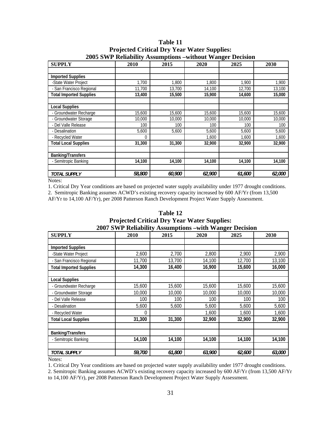| <b>SUPPLY</b>                  | 2010   | 2015   | 2020   | 2025   | 2030   |
|--------------------------------|--------|--------|--------|--------|--------|
|                                |        |        |        |        |        |
| <b>Imported Supplies</b>       |        |        |        |        |        |
| -State Water Project           | 1,700  | 1,800  | 1,800  | 1,900  | 1,900  |
| - San Francisco Regional       | 11,700 | 13,700 | 14,100 | 12,700 | 13,100 |
| <b>Total Imported Supplies</b> | 13,400 | 15,500 | 15,900 | 14,600 | 15,000 |
|                                |        |        |        |        |        |
| <b>Local Supplies</b>          |        |        |        |        |        |
| - Groundwater Recharge         | 15,600 | 15,600 | 15,600 | 15,600 | 15,600 |
| - Groundwater Storage          | 10,000 | 10,000 | 10,000 | 10,000 | 10,000 |
| - Del Valle Release            | 100    | 100    | 100    | 100    | 100    |
| - Desalination                 | 5,600  | 5,600  | 5,600  | 5,600  | 5,600  |
| - Recycled Water               | 0      |        | 1,600  | 1,600  | 1,600  |
| <b>Total Local Supplies</b>    | 31,300 | 31,300 | 32,900 | 32,900 | 32,900 |
|                                |        |        |        |        |        |
| <b>Banking/Transfers</b>       |        |        |        |        |        |
| - Semitropic Banking           | 14,100 | 14,100 | 14,100 | 14,100 | 14,100 |
|                                |        |        |        |        |        |
| <b>TOTAL SUPPLY</b>            | 58,800 | 60,900 | 62,900 | 61,600 | 62,000 |

**Table 11 Projected Critical Dry Year Water Supplies: 2005 SWP Reliability Assumptions –without Wanger Decision** 

1. Critical Dry Year conditions are based on projected water supply availability under 1977 drought conditions. 2. Semitropic Banking assumes ACWD's existing recovery capacity increased by 600 AF/Yr (from 13,500 AF/Yr to 14,100 AF/Yr), per 2008 Patterson Ranch Development Project Water Supply Assessment.

**Table 12 Projected Critical Dry Year Water Supplies: 2007 SWP Reliability Assumptions –with Wanger Decision** 

|                                | 2007 D WE KURDHILY ASSUMPTIONS –WITH WANGU DUISION |        |        |        |        |  |  |  |  |  |  |
|--------------------------------|----------------------------------------------------|--------|--------|--------|--------|--|--|--|--|--|--|
| <b>SUPPLY</b>                  | 2010                                               | 2015   | 2020   | 2025   | 2030   |  |  |  |  |  |  |
|                                |                                                    |        |        |        |        |  |  |  |  |  |  |
| <b>Imported Supplies</b>       |                                                    |        |        |        |        |  |  |  |  |  |  |
| -State Water Project           | 2,600                                              | 2,700  | 2,800  | 2,900  | 2,900  |  |  |  |  |  |  |
| - San Francisco Regional       | 11,700                                             | 13,700 | 14,100 | 12,700 | 13,100 |  |  |  |  |  |  |
| <b>Total Imported Supplies</b> | 14,300                                             | 16,400 | 16,900 | 15,600 | 16,000 |  |  |  |  |  |  |
| <b>Local Supplies</b>          |                                                    |        |        |        |        |  |  |  |  |  |  |
|                                |                                                    |        |        |        |        |  |  |  |  |  |  |
| - Groundwater Recharge         | 15,600                                             | 15,600 | 15,600 | 15,600 | 15,600 |  |  |  |  |  |  |
| - Groundwater Storage          | 10,000                                             | 10,000 | 10,000 | 10,000 | 10,000 |  |  |  |  |  |  |
| - Del Valle Release            | 100                                                | 100    | 100    | 100    | 100    |  |  |  |  |  |  |
| - Desalination                 | 5,600                                              | 5,600  | 5,600  | 5,600  | 5,600  |  |  |  |  |  |  |
| - Recycled Water               | $\Omega$                                           |        | 1,600  | 1,600  | 1,600  |  |  |  |  |  |  |
| <b>Total Local Supplies</b>    | 31,300                                             | 31,300 | 32,900 | 32,900 | 32,900 |  |  |  |  |  |  |
|                                |                                                    |        |        |        |        |  |  |  |  |  |  |
| <b>Banking/Transfers</b>       |                                                    |        |        |        |        |  |  |  |  |  |  |
| - Semitropic Banking           | 14,100                                             | 14,100 | 14,100 | 14,100 | 14,100 |  |  |  |  |  |  |
|                                |                                                    |        |        |        |        |  |  |  |  |  |  |
| <b>TOTAL SUPPLY</b>            | 59,700                                             | 61,800 | 63,900 | 62,600 | 63,000 |  |  |  |  |  |  |

Notes:

1. Critical Dry Year conditions are based on projected water supply availability under 1977 drought conditions.

2. Semitropic Banking assumes ACWD's existing recovery capacity increased by 600 AF/Yr (from 13,500 AF/Yr to 14,100 AF/Yr), per 2008 Patterson Ranch Development Project Water Supply Assessment.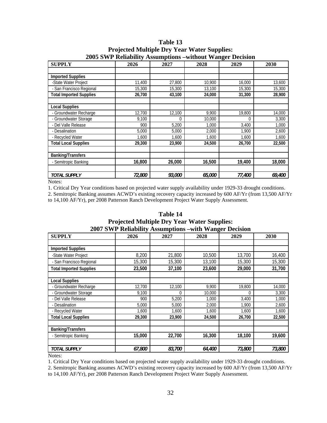| <b>SUPPLY</b>                  | 2026   | 2027   | o<br>2028 | 2029     | 2030   |
|--------------------------------|--------|--------|-----------|----------|--------|
|                                |        |        |           |          |        |
| <b>Imported Supplies</b>       |        |        |           |          |        |
| -State Water Project           | 11,400 | 27,800 | 10,900    | 16,000   | 13,600 |
| - San Francisco Regional       | 15,300 | 15,300 | 13,100    | 15,300   | 15,300 |
| <b>Total Imported Supplies</b> | 26,700 | 43,100 | 24,000    | 31,300   | 28,900 |
|                                |        |        |           |          |        |
| <b>Local Supplies</b>          |        |        |           |          |        |
| - Groundwater Recharge         | 12,700 | 12,100 | 9,900     | 19,800   | 14,000 |
| - Groundwater Storage          | 9,100  | 0      | 10,000    | $\Omega$ | 3,300  |
| - Del Valle Release            | 900    | 5,200  | 1,000     | 3,400    | 1,000  |
| - Desalination                 | 5,000  | 5,000  | 2,000     | 1.900    | 2,600  |
| - Recycled Water               | 1,600  | 1,600  | 1,600     | 1,600    | 1,600  |
| <b>Total Local Supplies</b>    | 29,300 | 23,900 | 24,500    | 26,700   | 22,500 |
|                                |        |        |           |          |        |
| <b>Banking/Transfers</b>       |        |        |           |          |        |
| - Semitropic Banking           | 16,800 | 26,000 | 16,500    | 19,400   | 18,000 |
|                                |        |        |           |          |        |
| <b>TOTAL SUPPLY</b>            | 72,800 | 93,000 | 65,000    | 77,400   | 69,400 |

**Table 13 Projected Multiple Dry Year Water Supplies: 2005 SWP Reliability Assumptions –without Wanger Decision** 

1. Critical Dry Year conditions based on projected water supply availability under 1929-33 drought conditions.

2. Semitropic Banking assumes ACWD's existing recovery capacity increased by 600 AF/Yr (from 13,500 AF/Yr to 14,100 AF/Yr), per 2008 Patterson Ranch Development Project Water Supply Assessment.

## **Table 14**

**Projected Multiple Dry Year Water Supplies:** 

**2007 SWP Reliability Assumptions –with Wanger Decision** 

| <b>SUPPLY</b>                  | 2026   | 2027   | o<br>2028 | 2029     | 2030   |
|--------------------------------|--------|--------|-----------|----------|--------|
|                                |        |        |           |          |        |
| <b>Imported Supplies</b>       |        |        |           |          |        |
| -State Water Project           | 8,200  | 21,800 | 10,500    | 13,700   | 16,400 |
| - San Francisco Regional       | 15,300 | 15,300 | 13,100    | 15,300   | 15,300 |
| <b>Total Imported Supplies</b> | 23,500 | 37,100 | 23,600    | 29,000   | 31,700 |
|                                |        |        |           |          |        |
| <b>Local Supplies</b>          |        |        |           |          |        |
| - Groundwater Recharge         | 12,700 | 12,100 | 9,900     | 19,800   | 14,000 |
| - Groundwater Storage          | 9,100  | 0      | 10,000    | $\Omega$ | 3,300  |
| - Del Valle Release            | 900    | 5,200  | 1,000     | 3,400    | 1,000  |
| - Desalination                 | 5,000  | 5,000  | 2,000     | 1,900    | 2,600  |
| - Recycled Water               | 1,600  | 1,600  | 1,600     | 1,600    | 1,600  |
| <b>Total Local Supplies</b>    | 29,300 | 23,900 | 24,500    | 26.700   | 22,500 |
|                                |        |        |           |          |        |
| <b>Banking/Transfers</b>       |        |        |           |          |        |
| - Semitropic Banking           | 15,000 | 22,700 | 16,300    | 18,100   | 19,600 |
|                                |        |        |           |          |        |
| <b>TOTAL SUPPLY</b>            | 67,800 | 83,700 | 64,400    | 73,800   | 73,800 |

Notes:

1. Critical Dry Year conditions based on projected water supply availability under 1929-33 drought conditions.

2. Semitropic Banking assumes ACWD's existing recovery capacity increased by 600 AF/Yr (from 13,500 AF/Yr to 14,100 AF/Yr), per 2008 Patterson Ranch Development Project Water Supply Assessment.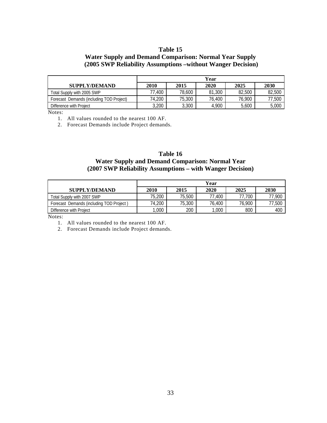#### **Table 15**

## **Water Supply and Demand Comparison: Normal Year Supply (2005 SWP Reliability Assumptions –without Wanger Decision)**

|                                          | Year   |        |        |        |        |
|------------------------------------------|--------|--------|--------|--------|--------|
| <b>SUPPLY/DEMAND</b>                     | 2010   | 2015   | 2020   | 2025   | 2030   |
| Total Supply with 2005 SWP               | 77.400 | 78.600 | 81,300 | 82,500 | 82,500 |
| Forecast Demands (including TOD Project) | 74.200 | 75,300 | 76,400 | 76,900 | 77.500 |
| Difference with Project                  | 3,200  | 3,300  | 4,900  | 5,600  | 5,000  |

Notes:

1. All values rounded to the nearest 100 AF.

2. Forecast Demands include Project demands.

#### **Table 16 Water Supply and Demand Comparison: Normal Year (2007 SWP Reliability Assumptions – with Wanger Decision)**

|                                          | Year   |        |        |        |        |
|------------------------------------------|--------|--------|--------|--------|--------|
| <b>SUPPLY/DEMAND</b>                     | 2010   | 2015   | 2020   | 2025   | 2030   |
| Total Supply with 2007 SWP               | 75,200 | 75,500 | 77.400 | 77.700 | 77.900 |
| Forecast Demands (including TOD Project) | 74.200 | 75,300 | 76.400 | 76,900 | '7,500 |
| Difference with Project                  | ,000   | 200    | 1,000  | 800    | 400    |

Notes:

2. Forecast Demands include Project demands.

<sup>1.</sup> All values rounded to the nearest 100 AF.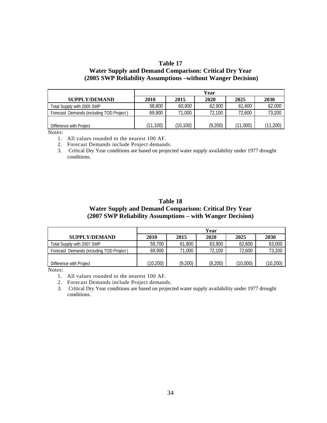## **Table 17 Water Supply and Demand Comparison: Critical Dry Year (2005 SWP Reliability Assumptions –without Wanger Decision)**

|                                          | Year     |          |         |          |               |
|------------------------------------------|----------|----------|---------|----------|---------------|
| <b>SUPPLY/DEMAND</b>                     | 2010     | 2015     | 2020    | 2025     | 2030          |
| Total Supply with 2005 SWP               | 58,800   | 60,900   | 62,900  | 61.600   | <i>62,000</i> |
| Forecast Demands (including TOD Project) | 69,900   | 000.     | 72.100  | 72,600   | 73,200        |
|                                          |          |          |         |          |               |
| Difference with Project                  | (11,100) | (10,100) | (9,200) | (11,000) | (11, 200)     |

Notes:

- 1. All values rounded to the nearest 100 AF.
- 2. Forecast Demands include Project demands.
- 3. Critical Dry Year conditions are based on projected water supply availability under 1977 drought conditions.

#### **Table 18 Water Supply and Demand Comparison: Critical Dry Year (2007 SWP Reliability Assumptions – with Wanger Decision)**

|                                          | Year      |         |         |          |           |
|------------------------------------------|-----------|---------|---------|----------|-----------|
| <b>SUPPLY/DEMAND</b>                     | 2010      | 2015    | 2020    | 2025     | 2030      |
| Total Supply with 2007 SWP               | 59,700    | 61,800  | 63.900  | 62,600   | 63,000    |
| Forecast Demands (including TOD Project) | 69,900    | 71,000  | 72.100  | 72.600   | 73,200    |
|                                          |           |         |         |          |           |
| Difference with Project                  | (10, 200) | (9,200) | (8,200) | (10,000) | (10, 200) |

Notes:

- 1. All values rounded to the nearest 100 AF.
- 2. Forecast Demands include Project demands.

3. Critical Dry Year conditions are based on projected water supply availability under 1977 drought conditions.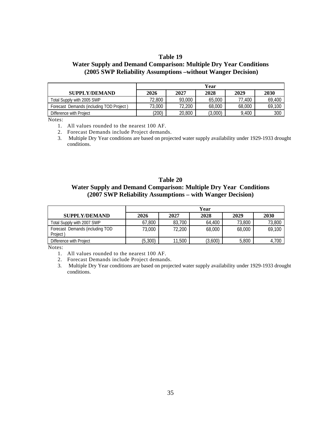#### **Table 19**

## **Water Supply and Demand Comparison: Multiple Dry Year Conditions (2005 SWP Reliability Assumptions –without Wanger Decision)**

|                                          | Year   |        |         |        |        |
|------------------------------------------|--------|--------|---------|--------|--------|
| <b>SUPPLY/DEMAND</b>                     | 2026   | 2027   | 2028    | 2029   | 2030   |
| Total Supply with 2005 SWP               | 72,800 | 93,000 | 65,000  | 77.400 | 69,400 |
| Forecast Demands (including TOD Project) | 73,000 | 72,200 | 68,000  | 68,000 | 69,100 |
| Difference with Project                  | (200)  | 20,800 | (3,000) | 9,400  | 300    |

Notes:

- 1. All values rounded to the nearest 100 AF.
- 2. Forecast Demands include Project demands.
- 3. Multiple Dry Year conditions are based on projected water supply availability under 1929-1933 drought conditions.

## **Table 20**

## **Water Supply and Demand Comparison: Multiple Dry Year Conditions (2007 SWP Reliability Assumptions – with Wanger Decision)**

|                                             | Year     |        |         |        |        |
|---------------------------------------------|----------|--------|---------|--------|--------|
| <b>SUPPLY/DEMAND</b>                        | 2026     | 2027   | 2028    | 2029   | 2030   |
| Total Supply with 2007 SWP                  | 67,800   | 83,700 | 64,400  | 73,800 | 73,800 |
| Forecast Demands (including TOD<br>Project) | 73,000   | 72,200 | 68,000  | 68,000 | 69,100 |
| Difference with Project                     | (5, 300) | 11,500 | (3,600) | 5,800  | 4,700  |

Notes:

- 1. All values rounded to the nearest 100 AF.
- 2. Forecast Demands include Project demands.
- 3. Multiple Dry Year conditions are based on projected water supply availability under 1929-1933 drought conditions.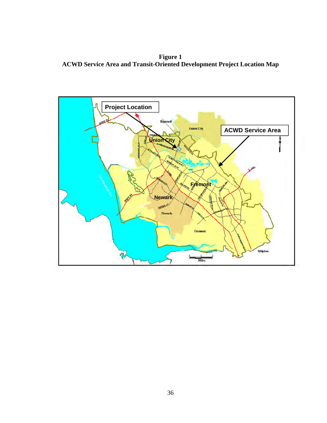**Figure 1 ACWD Service Area and Transit-Oriented Development Project Location Map** 

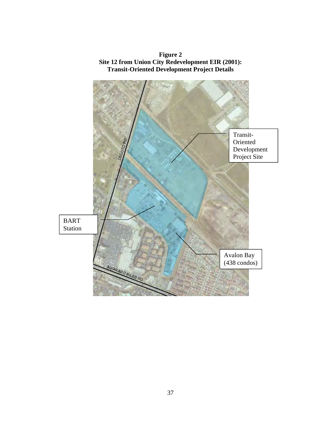

**Figure 2 Site 12 from Union City Redevelopment EIR (2001): Transit-Oriented Development Project Details**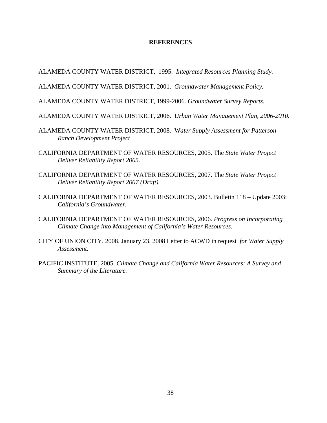#### **REFERENCES**

ALAMEDA COUNTY WATER DISTRICT, 1995. *Integrated Resources Planning Study.*

ALAMEDA COUNTY WATER DISTRICT, 2001. *Groundwater Management Policy.* 

ALAMEDA COUNTY WATER DISTRICT, 1999-2006. *Groundwater Survey Reports.* 

ALAMEDA COUNTY WATER DISTRICT, 2006. *Urban Water Management Plan, 2006-2010.*

- ALAMEDA COUNTY WATER DISTRICT, 2008. W*ater Supply Assessment for Patterson Ranch Development Project*
- CALIFORNIA DEPARTMENT OF WATER RESOURCES, 2005. The *State Water Project Deliver Reliability Report 2005.*
- CALIFORNIA DEPARTMENT OF WATER RESOURCES, 2007. The *State Water Project Deliver Reliability Report 2007 (Draft).*
- CALIFORNIA DEPARTMENT OF WATER RESOURCES, 2003. Bulletin 118 Update 2003: *California's Groundwater.*
- CALIFORNIA DEPARTMENT OF WATER RESOURCES, 2006. *Progress on Incorporating Climate Change into Management of California's Water Resources.*
- CITY OF UNION CITY, 2008. January 23, 2008 Letter to ACWD in request *for Water Supply Assessment.*
- PACIFIC INSTITUTE, 2005*. Climate Change and California Water Resources: A Survey and Summary of the Literature.*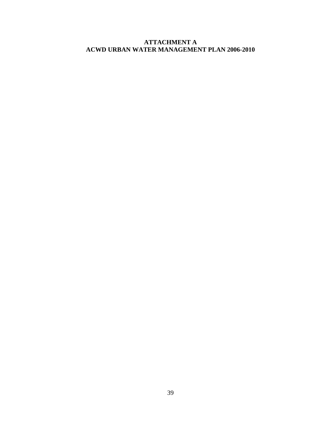## **ATTACHMENT A ACWD URBAN WATER MANAGEMENT PLAN 2006-2010**